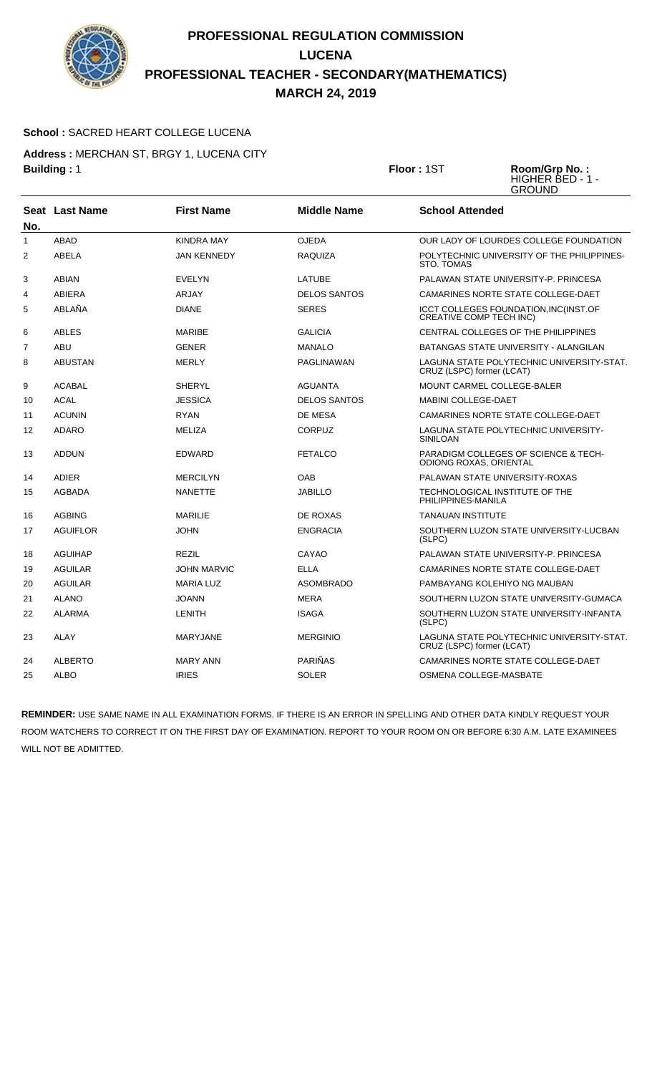

### **School :** SACRED HEART COLLEGE LUCENA

**Address :** MERCHAN ST, BRGY 1, LUCENA CITY **Building :** 1 **Floor :** 1ST **Room/Grp No. :**

HIGHER BED - 1 - **GROUND** 

|                | <b>Seat Last Name</b> | <b>First Name</b>  | <b>Middle Name</b>  | <b>School Attended</b>                                                    |
|----------------|-----------------------|--------------------|---------------------|---------------------------------------------------------------------------|
| No.            |                       |                    |                     |                                                                           |
| $\mathbf{1}$   | <b>ABAD</b>           | <b>KINDRA MAY</b>  | <b>OJEDA</b>        | OUR LADY OF LOURDES COLLEGE FOUNDATION                                    |
| 2              | <b>ABELA</b>          | <b>JAN KENNEDY</b> | <b>RAQUIZA</b>      | POLYTECHNIC UNIVERSITY OF THE PHILIPPINES-<br><b>STO. TOMAS</b>           |
| 3              | <b>ABIAN</b>          | <b>EVELYN</b>      | <b>LATUBE</b>       | PALAWAN STATE UNIVERSITY-P. PRINCESA                                      |
| $\overline{4}$ | <b>ABIERA</b>         | ARJAY              | <b>DELOS SANTOS</b> | CAMARINES NORTE STATE COLLEGE-DAET                                        |
| 5              | ABLAÑA                | <b>DIANE</b>       | <b>SERES</b>        | ICCT COLLEGES FOUNDATION, INC(INST.OF<br><b>CREATIVE COMP TECH INC)</b>   |
| 6              | <b>ABLES</b>          | <b>MARIBE</b>      | <b>GALICIA</b>      | CENTRAL COLLEGES OF THE PHILIPPINES                                       |
| $\overline{7}$ | <b>ABU</b>            | <b>GENER</b>       | <b>MANALO</b>       | <b>BATANGAS STATE UNIVERSITY - ALANGILAN</b>                              |
| 8              | <b>ABUSTAN</b>        | <b>MERLY</b>       | <b>PAGLINAWAN</b>   | LAGUNA STATE POLYTECHNIC UNIVERSITY-STAT.<br>CRUZ (LSPC) former (LCAT)    |
| 9              | <b>ACABAL</b>         | <b>SHERYL</b>      | <b>AGUANTA</b>      | MOUNT CARMEL COLLEGE-BALER                                                |
| 10             | <b>ACAL</b>           | <b>JESSICA</b>     | <b>DELOS SANTOS</b> | <b>MABINI COLLEGE-DAET</b>                                                |
| 11             | <b>ACUNIN</b>         | <b>RYAN</b>        | DE MESA             | CAMARINES NORTE STATE COLLEGE-DAET                                        |
| 12             | <b>ADARO</b>          | <b>MELIZA</b>      | <b>CORPUZ</b>       | LAGUNA STATE POLYTECHNIC UNIVERSITY-<br><b>SINILOAN</b>                   |
| 13             | <b>ADDUN</b>          | <b>EDWARD</b>      | <b>FETALCO</b>      | <b>PARADIGM COLLEGES OF SCIENCE &amp; TECH-</b><br>ODIONG ROXAS, ORIENTAL |
| 14             | ADIER                 | <b>MERCILYN</b>    | <b>OAB</b>          | PALAWAN STATE UNIVERSITY-ROXAS                                            |
| 15             | <b>AGBADA</b>         | <b>NANETTE</b>     | <b>JABILLO</b>      | TECHNOLOGICAL INSTITUTE OF THE<br>PHILIPPINES-MANILA                      |
| 16             | <b>AGBING</b>         | <b>MARILIE</b>     | DE ROXAS            | <b>TANAUAN INSTITUTE</b>                                                  |
| 17             | <b>AGUIFLOR</b>       | <b>JOHN</b>        | <b>ENGRACIA</b>     | SOUTHERN LUZON STATE UNIVERSITY-LUCBAN<br>(SLPC)                          |
| 18             | <b>AGUIHAP</b>        | <b>REZIL</b>       | CAYAO               | PALAWAN STATE UNIVERSITY-P. PRINCESA                                      |
| 19             | <b>AGUILAR</b>        | <b>JOHN MARVIC</b> | <b>ELLA</b>         | CAMARINES NORTE STATE COLLEGE-DAET                                        |
| 20             | <b>AGUILAR</b>        | <b>MARIA LUZ</b>   | <b>ASOMBRADO</b>    | PAMBAYANG KOLEHIYO NG MAUBAN                                              |
| 21             | <b>ALANO</b>          | <b>JOANN</b>       | <b>MERA</b>         | SOUTHERN LUZON STATE UNIVERSITY-GUMACA                                    |
| 22             | <b>ALARMA</b>         | <b>LENITH</b>      | <b>ISAGA</b>        | SOUTHERN LUZON STATE UNIVERSITY-INFANTA<br>(SLPC)                         |
| 23             | <b>ALAY</b>           | <b>MARYJANE</b>    | <b>MERGINIO</b>     | LAGUNA STATE POLYTECHNIC UNIVERSITY-STAT.<br>CRUZ (LSPC) former (LCAT)    |
| 24             | <b>ALBERTO</b>        | <b>MARY ANN</b>    | <b>PARIÑAS</b>      | CAMARINES NORTE STATE COLLEGE-DAET                                        |
| 25             | <b>ALBO</b>           | <b>IRIES</b>       | <b>SOLER</b>        | OSMENA COLLEGE-MASBATE                                                    |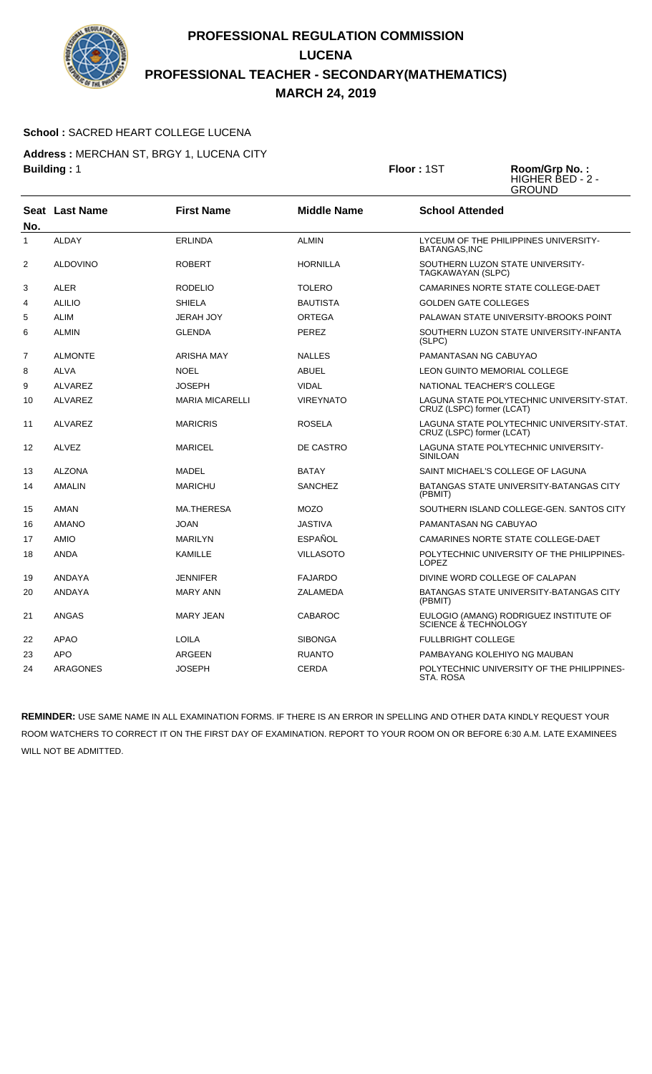

#### **School :** SACRED HEART COLLEGE LUCENA

**Address :** MERCHAN ST, BRGY 1, LUCENA CITY **Building :** 1 **Floor :** 1ST **Room/Grp No. :**

HIGHER BED - 2 - **GROUND** 

|                   | Seat Last Name  | <b>First Name</b>      | <b>Middle Name</b> | <b>School Attended</b>                                                 |
|-------------------|-----------------|------------------------|--------------------|------------------------------------------------------------------------|
| No.               |                 |                        |                    |                                                                        |
| $\mathbf{1}$      | <b>ALDAY</b>    | <b>ERLINDA</b>         | <b>ALMIN</b>       | LYCEUM OF THE PHILIPPINES UNIVERSITY-<br>BATANGAS, INC                 |
| 2                 | <b>ALDOVINO</b> | <b>ROBERT</b>          | <b>HORNILLA</b>    | SOUTHERN LUZON STATE UNIVERSITY-<br>TAGKAWAYAN (SLPC)                  |
| 3                 | ALER            | <b>RODELIO</b>         | <b>TOLERO</b>      | CAMARINES NORTE STATE COLLEGE-DAET                                     |
| 4                 | <b>ALILIO</b>   | <b>SHIELA</b>          | <b>BAUTISTA</b>    | <b>GOLDEN GATE COLLEGES</b>                                            |
| 5                 | <b>ALIM</b>     | <b>JERAH JOY</b>       | <b>ORTEGA</b>      | PALAWAN STATE UNIVERSITY-BROOKS POINT                                  |
| 6                 | <b>ALMIN</b>    | <b>GLENDA</b>          | PEREZ              | SOUTHERN LUZON STATE UNIVERSITY-INFANTA<br>(SLPC)                      |
| $\overline{7}$    | <b>ALMONTE</b>  | <b>ARISHA MAY</b>      | <b>NALLES</b>      | PAMANTASAN NG CABUYAO                                                  |
| 8                 | <b>ALVA</b>     | <b>NOEL</b>            | <b>ABUEL</b>       | <b>LEON GUINTO MEMORIAL COLLEGE</b>                                    |
| 9                 | <b>ALVAREZ</b>  | <b>JOSEPH</b>          | <b>VIDAL</b>       | NATIONAL TEACHER'S COLLEGE                                             |
| 10                | <b>ALVAREZ</b>  | <b>MARIA MICARELLI</b> | <b>VIREYNATO</b>   | LAGUNA STATE POLYTECHNIC UNIVERSITY-STAT.<br>CRUZ (LSPC) former (LCAT) |
| 11                | ALVAREZ         | <b>MARICRIS</b>        | <b>ROSELA</b>      | LAGUNA STATE POLYTECHNIC UNIVERSITY-STAT.<br>CRUZ (LSPC) former (LCAT) |
| $12 \overline{ }$ | <b>ALVEZ</b>    | <b>MARICEL</b>         | DE CASTRO          | LAGUNA STATE POLYTECHNIC UNIVERSITY-<br><b>SINILOAN</b>                |
| 13                | <b>ALZONA</b>   | <b>MADEL</b>           | <b>BATAY</b>       | SAINT MICHAEL'S COLLEGE OF LAGUNA                                      |
| 14                | <b>AMALIN</b>   | <b>MARICHU</b>         | <b>SANCHEZ</b>     | BATANGAS STATE UNIVERSITY-BATANGAS CITY<br>(PBMIT)                     |
| 15                | AMAN            | <b>MA.THERESA</b>      | <b>MOZO</b>        | SOUTHERN ISLAND COLLEGE-GEN. SANTOS CITY                               |
| 16                | <b>AMANO</b>    | <b>JOAN</b>            | JASTIVA            | PAMANTASAN NG CABUYAO                                                  |
| 17                | <b>AMIO</b>     | <b>MARILYN</b>         | ESPAÑOL            | CAMARINES NORTE STATE COLLEGE-DAET                                     |
| 18                | <b>ANDA</b>     | <b>KAMILLE</b>         | <b>VILLASOTO</b>   | POLYTECHNIC UNIVERSITY OF THE PHILIPPINES-<br><b>LOPEZ</b>             |
| 19                | ANDAYA          | <b>JENNIFER</b>        | <b>FAJARDO</b>     | DIVINE WORD COLLEGE OF CALAPAN                                         |
| 20                | ANDAYA          | <b>MARY ANN</b>        | ZALAMEDA           | <b>BATANGAS STATE UNIVERSITY-BATANGAS CITY</b><br>(PBMIT)              |
| 21                | <b>ANGAS</b>    | <b>MARY JEAN</b>       | CABAROC            | EULOGIO (AMANG) RODRIGUEZ INSTITUTE OF<br>SCIENCE & TECHNOLOGY         |
| 22                | <b>APAO</b>     | <b>LOILA</b>           | <b>SIBONGA</b>     | <b>FULLBRIGHT COLLEGE</b>                                              |
| 23                | <b>APO</b>      | ARGEEN                 | <b>RUANTO</b>      | PAMBAYANG KOLEHIYO NG MAUBAN                                           |
| 24                | <b>ARAGONES</b> | <b>JOSEPH</b>          | CERDA              | POLYTECHNIC UNIVERSITY OF THE PHILIPPINES-<br>STA, ROSA                |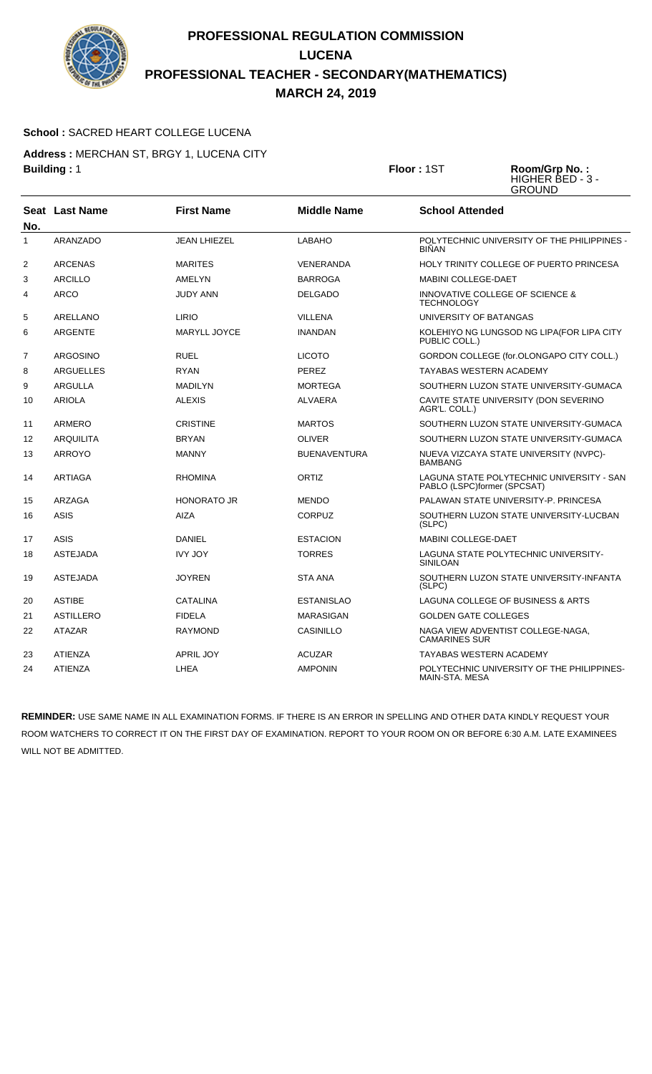

#### **School :** SACRED HEART COLLEGE LUCENA

**Address :** MERCHAN ST, BRGY 1, LUCENA CITY **Building :** 1 **Floor :** 1ST **Room/Grp No. :**

HIGHER BED - 3 - **GROUND** 

|                | Seat Last Name   | <b>First Name</b>   | <b>Middle Name</b>  | <b>School Attended</b>                                                   |
|----------------|------------------|---------------------|---------------------|--------------------------------------------------------------------------|
| No.            |                  |                     |                     |                                                                          |
| $\mathbf{1}$   | ARANZADO         | <b>JEAN LHIEZEL</b> | <b>LABAHO</b>       | POLYTECHNIC UNIVERSITY OF THE PHILIPPINES -<br><b>BINAN</b>              |
| $\overline{2}$ | <b>ARCENAS</b>   | <b>MARITES</b>      | <b>VENERANDA</b>    | HOLY TRINITY COLLEGE OF PUERTO PRINCESA                                  |
| 3              | <b>ARCILLO</b>   | AMELYN              | <b>BARROGA</b>      | <b>MABINI COLLEGE-DAET</b>                                               |
| 4              | <b>ARCO</b>      | <b>JUDY ANN</b>     | <b>DELGADO</b>      | INNOVATIVE COLLEGE OF SCIENCE &<br><b>TECHNOLOGY</b>                     |
| 5              | ARELLANO         | LIRIO               | <b>VILLENA</b>      | UNIVERSITY OF BATANGAS                                                   |
| 6              | <b>ARGENTE</b>   | <b>MARYLL JOYCE</b> | <b>INANDAN</b>      | KOLEHIYO NG LUNGSOD NG LIPA(FOR LIPA CITY<br>PUBLIC COLL.)               |
| 7              | <b>ARGOSINO</b>  | <b>RUEL</b>         | <b>LICOTO</b>       | GORDON COLLEGE (for.OLONGAPO CITY COLL.)                                 |
| 8              | ARGUELLES        | <b>RYAN</b>         | PEREZ               | <b>TAYABAS WESTERN ACADEMY</b>                                           |
| 9              | <b>ARGULLA</b>   | <b>MADILYN</b>      | <b>MORTEGA</b>      | SOUTHERN LUZON STATE UNIVERSITY-GUMACA                                   |
| 10             | <b>ARIOLA</b>    | <b>ALEXIS</b>       | <b>ALVAERA</b>      | CAVITE STATE UNIVERSITY (DON SEVERINO<br>AGR'L. COLL.)                   |
| 11             | <b>ARMERO</b>    | <b>CRISTINE</b>     | <b>MARTOS</b>       | SOUTHERN LUZON STATE UNIVERSITY-GUMACA                                   |
| 12             | <b>ARQUILITA</b> | <b>BRYAN</b>        | <b>OLIVER</b>       | SOUTHERN LUZON STATE UNIVERSITY-GUMACA                                   |
| 13             | <b>ARROYO</b>    | <b>MANNY</b>        | <b>BUENAVENTURA</b> | NUEVA VIZCAYA STATE UNIVERSITY (NVPC)-<br><b>BAMBANG</b>                 |
| 14             | <b>ARTIAGA</b>   | <b>RHOMINA</b>      | <b>ORTIZ</b>        | LAGUNA STATE POLYTECHNIC UNIVERSITY - SAN<br>PABLO (LSPC)former (SPCSAT) |
| 15             | ARZAGA           | <b>HONORATO JR</b>  | <b>MENDO</b>        | PALAWAN STATE UNIVERSITY-P. PRINCESA                                     |
| 16             | ASIS             | <b>AIZA</b>         | <b>CORPUZ</b>       | SOUTHERN LUZON STATE UNIVERSITY-LUCBAN<br>(SLPC)                         |
| 17             | <b>ASIS</b>      | DANIEL              | <b>ESTACION</b>     | <b>MABINI COLLEGE-DAET</b>                                               |
| 18             | <b>ASTEJADA</b>  | <b>IVY JOY</b>      | <b>TORRES</b>       | LAGUNA STATE POLYTECHNIC UNIVERSITY-<br><b>SINILOAN</b>                  |
| 19             | <b>ASTEJADA</b>  | <b>JOYREN</b>       | <b>STA ANA</b>      | SOUTHERN LUZON STATE UNIVERSITY-INFANTA<br>(SLPC)                        |
| 20             | <b>ASTIBE</b>    | <b>CATALINA</b>     | <b>ESTANISLAO</b>   | LAGUNA COLLEGE OF BUSINESS & ARTS                                        |
| 21             | <b>ASTILLERO</b> | <b>FIDELA</b>       | <b>MARASIGAN</b>    | <b>GOLDEN GATE COLLEGES</b>                                              |
| 22             | <b>ATAZAR</b>    | <b>RAYMOND</b>      | CASINILLO           | NAGA VIEW ADVENTIST COLLEGE-NAGA,<br><b>CAMARINES SUR</b>                |
| 23             | <b>ATIENZA</b>   | <b>APRIL JOY</b>    | <b>ACUZAR</b>       | <b>TAYABAS WESTERN ACADEMY</b>                                           |
| 24             | <b>ATIENZA</b>   | LHEA                | <b>AMPONIN</b>      | POLYTECHNIC UNIVERSITY OF THE PHILIPPINES-<br>MAIN-STA, MESA             |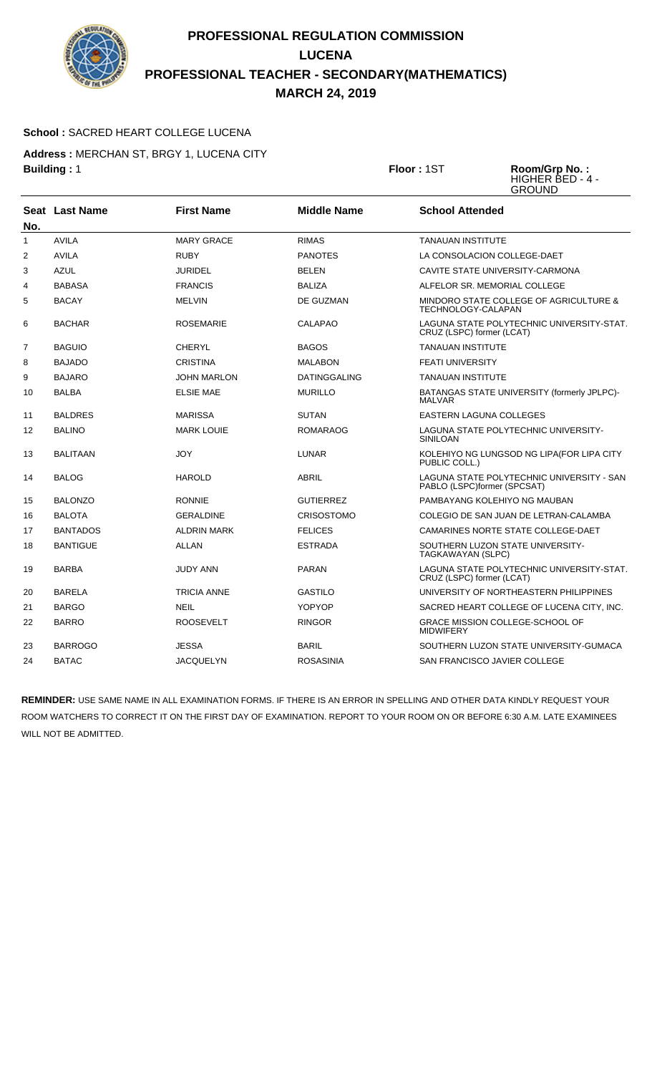

### **School :** SACRED HEART COLLEGE LUCENA

**Address :** MERCHAN ST, BRGY 1, LUCENA CITY **Building :** 1 **Floor :** 1ST **Room/Grp No. :**

HIGHER BED - 4 - **GROUND** 

| No.            | Seat Last Name  | <b>First Name</b>  | <b>Middle Name</b>  | <b>School Attended</b>                                                   |
|----------------|-----------------|--------------------|---------------------|--------------------------------------------------------------------------|
| $\mathbf{1}$   | <b>AVILA</b>    | <b>MARY GRACE</b>  | <b>RIMAS</b>        | <b>TANAUAN INSTITUTE</b>                                                 |
| 2              | <b>AVILA</b>    | <b>RUBY</b>        | <b>PANOTES</b>      | LA CONSOLACION COLLEGE-DAET                                              |
| 3              | <b>AZUL</b>     | <b>JURIDEL</b>     | <b>BELEN</b>        | CAVITE STATE UNIVERSITY-CARMONA                                          |
| 4              | <b>BABASA</b>   | <b>FRANCIS</b>     | <b>BALIZA</b>       | ALFELOR SR. MEMORIAL COLLEGE                                             |
| 5              | <b>BACAY</b>    | <b>MELVIN</b>      | DE GUZMAN           | MINDORO STATE COLLEGE OF AGRICULTURE &<br>TECHNOLOGY-CALAPAN             |
| 6              | <b>BACHAR</b>   | <b>ROSEMARIE</b>   | CALAPAO             | LAGUNA STATE POLYTECHNIC UNIVERSITY-STAT.<br>CRUZ (LSPC) former (LCAT)   |
| $\overline{7}$ | <b>BAGUIO</b>   | <b>CHERYL</b>      | <b>BAGOS</b>        | <b>TANAUAN INSTITUTE</b>                                                 |
| 8              | <b>BAJADO</b>   | <b>CRISTINA</b>    | <b>MALABON</b>      | <b>FEATI UNIVERSITY</b>                                                  |
| 9              | <b>BAJARO</b>   | <b>JOHN MARLON</b> | <b>DATINGGALING</b> | <b>TANAUAN INSTITUTE</b>                                                 |
| 10             | <b>BALBA</b>    | <b>ELSIE MAE</b>   | <b>MURILLO</b>      | BATANGAS STATE UNIVERSITY (formerly JPLPC)-<br><b>MALVAR</b>             |
| 11             | <b>BALDRES</b>  | <b>MARISSA</b>     | <b>SUTAN</b>        | EASTERN LAGUNA COLLEGES                                                  |
| 12             | <b>BALINO</b>   | <b>MARK LOUIE</b>  | <b>ROMARAOG</b>     | LAGUNA STATE POLYTECHNIC UNIVERSITY-<br><b>SINILOAN</b>                  |
| 13             | <b>BALITAAN</b> | <b>JOY</b>         | <b>LUNAR</b>        | KOLEHIYO NG LUNGSOD NG LIPA(FOR LIPA CITY<br>PUBLIC COLL.)               |
| 14             | <b>BALOG</b>    | <b>HAROLD</b>      | ABRIL               | LAGUNA STATE POLYTECHNIC UNIVERSITY - SAN<br>PABLO (LSPC)former (SPCSAT) |
| 15             | <b>BALONZO</b>  | <b>RONNIE</b>      | <b>GUTIERREZ</b>    | PAMBAYANG KOLEHIYO NG MAUBAN                                             |
| 16             | <b>BALOTA</b>   | <b>GERALDINE</b>   | <b>CRISOSTOMO</b>   | COLEGIO DE SAN JUAN DE LETRAN-CALAMBA                                    |
| 17             | <b>BANTADOS</b> | <b>ALDRIN MARK</b> | <b>FELICES</b>      | CAMARINES NORTE STATE COLLEGE-DAET                                       |
| 18             | <b>BANTIGUE</b> | ALLAN              | <b>ESTRADA</b>      | SOUTHERN LUZON STATE UNIVERSITY-<br>TAGKAWAYAN (SLPC)                    |
| 19             | <b>BARBA</b>    | <b>JUDY ANN</b>    | <b>PARAN</b>        | LAGUNA STATE POLYTECHNIC UNIVERSITY-STAT.<br>CRUZ (LSPC) former (LCAT)   |
| 20             | <b>BARELA</b>   | <b>TRICIA ANNE</b> | <b>GASTILO</b>      | UNIVERSITY OF NORTHEASTERN PHILIPPINES                                   |
| 21             | <b>BARGO</b>    | <b>NEIL</b>        | YOPYOP              | SACRED HEART COLLEGE OF LUCENA CITY, INC.                                |
| 22             | <b>BARRO</b>    | <b>ROOSEVELT</b>   | <b>RINGOR</b>       | GRACE MISSION COLLEGE-SCHOOL OF<br><b>MIDWIFERY</b>                      |
| 23             | <b>BARROGO</b>  | <b>JESSA</b>       | <b>BARIL</b>        | SOUTHERN LUZON STATE UNIVERSITY-GUMACA                                   |
| 24             | <b>BATAC</b>    | <b>JACQUELYN</b>   | <b>ROSASINIA</b>    | SAN FRANCISCO JAVIER COLLEGE                                             |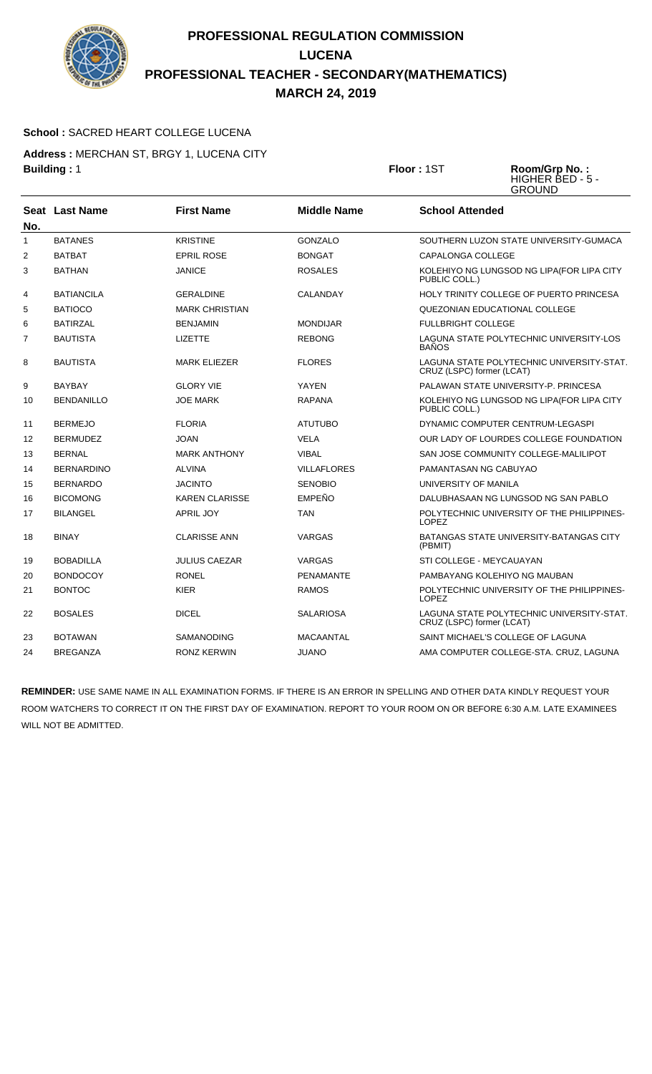

### **School :** SACRED HEART COLLEGE LUCENA

**Address :** MERCHAN ST, BRGY 1, LUCENA CITY **Building :** 1 **Floor :** 1ST **Room/Grp No. :**

HIGHER BED - 5 - **GROUND** 

|              | Seat Last Name    | <b>First Name</b>     | <b>Middle Name</b> | <b>School Attended</b>                                                 |
|--------------|-------------------|-----------------------|--------------------|------------------------------------------------------------------------|
| No.          |                   |                       |                    |                                                                        |
| $\mathbf{1}$ | <b>BATANES</b>    | <b>KRISTINE</b>       | <b>GONZALO</b>     | SOUTHERN LUZON STATE UNIVERSITY-GUMACA                                 |
| 2            | <b>BATBAT</b>     | <b>EPRIL ROSE</b>     | <b>BONGAT</b>      | CAPALONGA COLLEGE                                                      |
| 3            | <b>BATHAN</b>     | <b>JANICE</b>         | <b>ROSALES</b>     | KOLEHIYO NG LUNGSOD NG LIPA(FOR LIPA CITY<br>PUBLIC COLL.)             |
| 4            | <b>BATIANCILA</b> | <b>GERALDINE</b>      | CALANDAY           | HOLY TRINITY COLLEGE OF PUERTO PRINCESA                                |
| 5            | <b>BATIOCO</b>    | <b>MARK CHRISTIAN</b> |                    | QUEZONIAN EDUCATIONAL COLLEGE                                          |
| 6            | <b>BATIRZAL</b>   | <b>BENJAMIN</b>       | <b>MONDIJAR</b>    | <b>FULLBRIGHT COLLEGE</b>                                              |
| 7            | <b>BAUTISTA</b>   | <b>LIZETTE</b>        | <b>REBONG</b>      | LAGUNA STATE POLYTECHNIC UNIVERSITY-LOS<br><b>BAÑOS</b>                |
| 8            | <b>BAUTISTA</b>   | <b>MARK ELIEZER</b>   | <b>FLORES</b>      | LAGUNA STATE POLYTECHNIC UNIVERSITY-STAT.<br>CRUZ (LSPC) former (LCAT) |
| 9            | <b>BAYBAY</b>     | <b>GLORY VIE</b>      | YAYEN              | PALAWAN STATE UNIVERSITY-P. PRINCESA                                   |
| 10           | <b>BENDANILLO</b> | <b>JOE MARK</b>       | <b>RAPANA</b>      | KOLEHIYO NG LUNGSOD NG LIPA(FOR LIPA CITY<br>PUBLIC COLL.)             |
| 11           | <b>BERMEJO</b>    | <b>FLORIA</b>         | <b>ATUTUBO</b>     | DYNAMIC COMPUTER CENTRUM-LEGASPI                                       |
| 12           | <b>BERMUDEZ</b>   | <b>JOAN</b>           | <b>VELA</b>        | OUR LADY OF LOURDES COLLEGE FOUNDATION                                 |
| 13           | <b>BERNAL</b>     | <b>MARK ANTHONY</b>   | <b>VIBAL</b>       | SAN JOSE COMMUNITY COLLEGE-MALILIPOT                                   |
| 14           | <b>BERNARDINO</b> | <b>ALVINA</b>         | <b>VILLAFLORES</b> | PAMANTASAN NG CABUYAO                                                  |
| 15           | <b>BERNARDO</b>   | <b>JACINTO</b>        | <b>SENOBIO</b>     | UNIVERSITY OF MANILA                                                   |
| 16           | <b>BICOMONG</b>   | <b>KAREN CLARISSE</b> | <b>EMPEÑO</b>      | DALUBHASAAN NG LUNGSOD NG SAN PABLO                                    |
| 17           | <b>BILANGEL</b>   | <b>APRIL JOY</b>      | <b>TAN</b>         | POLYTECHNIC UNIVERSITY OF THE PHILIPPINES-<br><b>LOPEZ</b>             |
| 18           | <b>BINAY</b>      | <b>CLARISSE ANN</b>   | <b>VARGAS</b>      | <b>BATANGAS STATE UNIVERSITY-BATANGAS CITY</b><br>(PBMIT)              |
| 19           | <b>BOBADILLA</b>  | <b>JULIUS CAEZAR</b>  | <b>VARGAS</b>      | STI COLLEGE - MEYCAUAYAN                                               |
| 20           | <b>BONDOCOY</b>   | <b>RONEL</b>          | <b>PENAMANTE</b>   | PAMBAYANG KOLEHIYO NG MAUBAN                                           |
| 21           | <b>BONTOC</b>     | <b>KIER</b>           | <b>RAMOS</b>       | POLYTECHNIC UNIVERSITY OF THE PHILIPPINES-<br><b>LOPEZ</b>             |
| 22           | <b>BOSALES</b>    | <b>DICEL</b>          | <b>SALARIOSA</b>   | LAGUNA STATE POLYTECHNIC UNIVERSITY-STAT.<br>CRUZ (LSPC) former (LCAT) |
| 23           | <b>BOTAWAN</b>    | <b>SAMANODING</b>     | MACAANTAL          | SAINT MICHAEL'S COLLEGE OF LAGUNA                                      |
| 24           | <b>BREGANZA</b>   | <b>RONZ KERWIN</b>    | <b>JUANO</b>       | AMA COMPUTER COLLEGE-STA. CRUZ, LAGUNA                                 |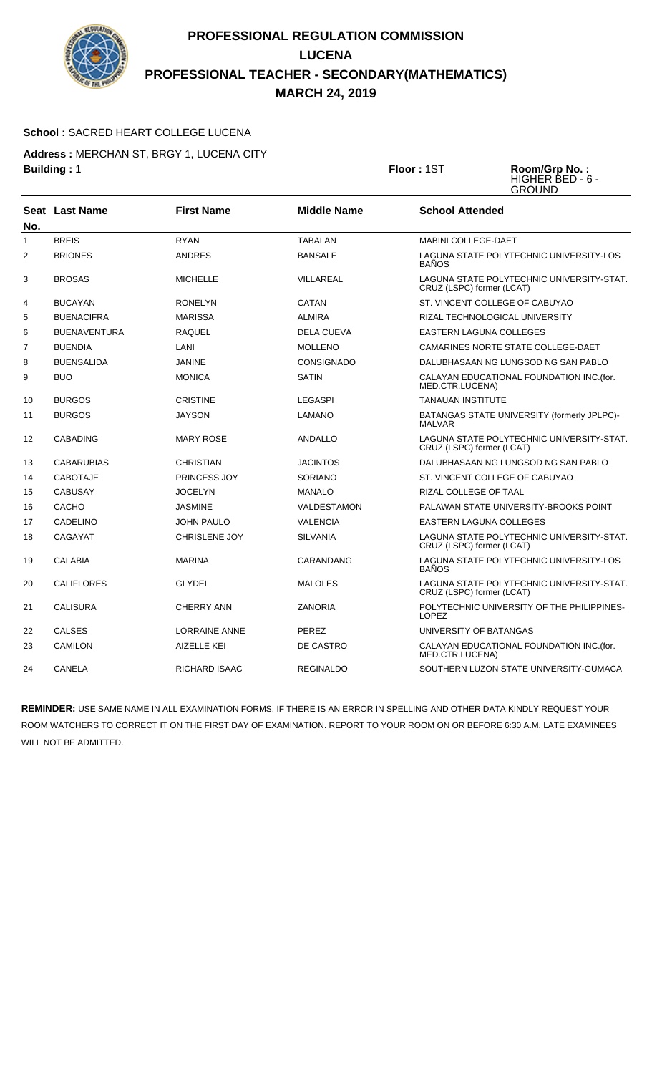

### **School :** SACRED HEART COLLEGE LUCENA

**Address :** MERCHAN ST, BRGY 1, LUCENA CITY **Building :** 1 **Floor :** 1ST **Room/Grp No. :**

HIGHER BED - 6 - **GROUND** 

|                | <b>Seat Last Name</b> | <b>First Name</b>    | <b>Middle Name</b> | <b>School Attended</b>                                                 |
|----------------|-----------------------|----------------------|--------------------|------------------------------------------------------------------------|
| No.            |                       |                      |                    |                                                                        |
| $\mathbf{1}$   | <b>BREIS</b>          | <b>RYAN</b>          | <b>TABALAN</b>     | <b>MABINI COLLEGE-DAET</b>                                             |
| 2              | <b>BRIONES</b>        | <b>ANDRES</b>        | <b>BANSALE</b>     | LAGUNA STATE POLYTECHNIC UNIVERSITY-LOS<br><b>BANOS</b>                |
| 3              | <b>BROSAS</b>         | <b>MICHELLE</b>      | VILLAREAL          | LAGUNA STATE POLYTECHNIC UNIVERSITY-STAT.<br>CRUZ (LSPC) former (LCAT) |
| 4              | <b>BUCAYAN</b>        | <b>RONELYN</b>       | CATAN              | ST. VINCENT COLLEGE OF CABUYAO                                         |
| 5              | <b>BUENACIFRA</b>     | <b>MARISSA</b>       | <b>ALMIRA</b>      | RIZAL TECHNOLOGICAL UNIVERSITY                                         |
| 6              | <b>BUENAVENTURA</b>   | <b>RAQUEL</b>        | <b>DELA CUEVA</b>  | <b>EASTERN LAGUNA COLLEGES</b>                                         |
| $\overline{7}$ | <b>BUENDIA</b>        | LANI                 | <b>MOLLENO</b>     | CAMARINES NORTE STATE COLLEGE-DAET                                     |
| 8              | <b>BUENSALIDA</b>     | <b>JANINE</b>        | <b>CONSIGNADO</b>  | DALUBHASAAN NG LUNGSOD NG SAN PABLO                                    |
| 9              | <b>BUO</b>            | <b>MONICA</b>        | <b>SATIN</b>       | CALAYAN EDUCATIONAL FOUNDATION INC. (for.<br>MED.CTR.LUCENA)           |
| 10             | <b>BURGOS</b>         | <b>CRISTINE</b>      | LEGASPI            | <b>TANAUAN INSTITUTE</b>                                               |
| 11             | <b>BURGOS</b>         | <b>JAYSON</b>        | <b>LAMANO</b>      | BATANGAS STATE UNIVERSITY (formerly JPLPC)-<br><b>MALVAR</b>           |
| 12             | <b>CABADING</b>       | <b>MARY ROSE</b>     | <b>ANDALLO</b>     | LAGUNA STATE POLYTECHNIC UNIVERSITY-STAT.<br>CRUZ (LSPC) former (LCAT) |
| 13             | <b>CABARUBIAS</b>     | <b>CHRISTIAN</b>     | <b>JACINTOS</b>    | DALUBHASAAN NG LUNGSOD NG SAN PABLO                                    |
| 14             | <b>CABOTAJE</b>       | PRINCESS JOY         | SORIANO            | ST. VINCENT COLLEGE OF CABUYAO                                         |
| 15             | <b>CABUSAY</b>        | <b>JOCELYN</b>       | <b>MANALO</b>      | <b>RIZAL COLLEGE OF TAAL</b>                                           |
| 16             | CACHO                 | <b>JASMINE</b>       | <b>VALDESTAMON</b> | PALAWAN STATE UNIVERSITY-BROOKS POINT                                  |
| 17             | <b>CADELINO</b>       | <b>JOHN PAULO</b>    | <b>VALENCIA</b>    | <b>EASTERN LAGUNA COLLEGES</b>                                         |
| 18             | CAGAYAT               | <b>CHRISLENE JOY</b> | <b>SILVANIA</b>    | LAGUNA STATE POLYTECHNIC UNIVERSITY-STAT.<br>CRUZ (LSPC) former (LCAT) |
| 19             | <b>CALABIA</b>        | <b>MARINA</b>        | CARANDANG          | LAGUNA STATE POLYTECHNIC UNIVERSITY-LOS<br><b>BAÑOS</b>                |
| 20             | <b>CALIFLORES</b>     | <b>GLYDEL</b>        | <b>MALOLES</b>     | LAGUNA STATE POLYTECHNIC UNIVERSITY-STAT.<br>CRUZ (LSPC) former (LCAT) |
| 21             | <b>CALISURA</b>       | <b>CHERRY ANN</b>    | <b>ZANORIA</b>     | POLYTECHNIC UNIVERSITY OF THE PHILIPPINES-<br><b>LOPEZ</b>             |
| 22             | <b>CALSES</b>         | <b>LORRAINE ANNE</b> | PEREZ              | UNIVERSITY OF BATANGAS                                                 |
| 23             | <b>CAMILON</b>        | <b>AIZELLE KEI</b>   | DE CASTRO          | CALAYAN EDUCATIONAL FOUNDATION INC. (for.<br>MED.CTR.LUCENA)           |
| 24             | CANELA                | <b>RICHARD ISAAC</b> | <b>REGINALDO</b>   | SOUTHERN LUZON STATE UNIVERSITY-GUMACA                                 |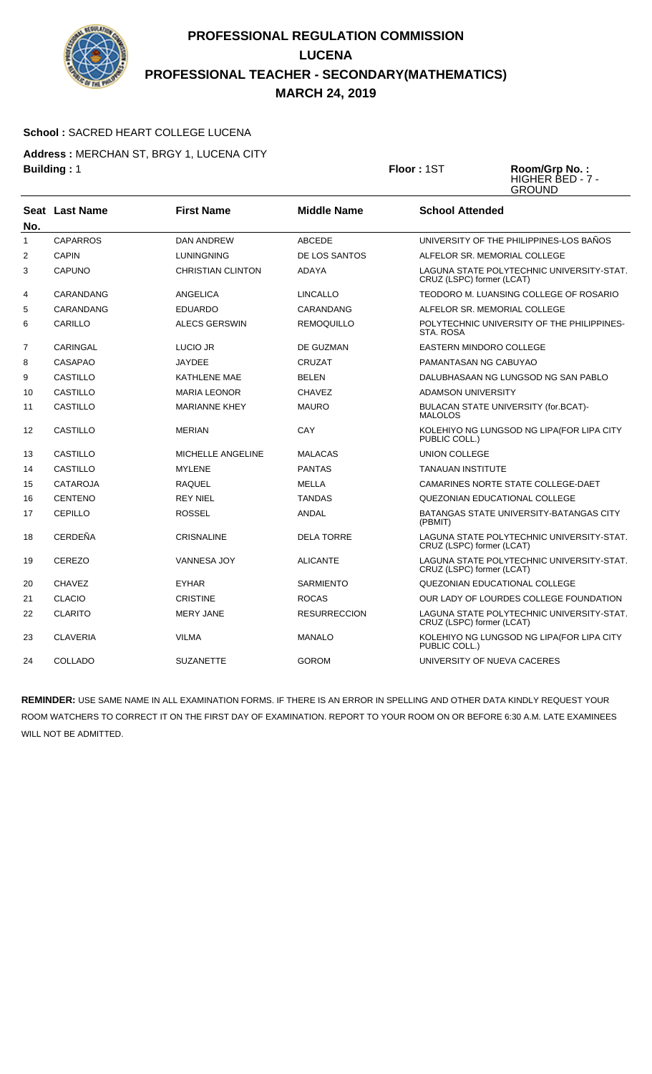

### **School :** SACRED HEART COLLEGE LUCENA

**Address :** MERCHAN ST, BRGY 1, LUCENA CITY **Building :** 1 **Floor :** 1ST **Room/Grp No. :**

HIGHER BED - 7 - **GROUND** 

| No.          | Seat Last Name  | <b>First Name</b>        | <b>Middle Name</b>  | <b>School Attended</b>                                                 |
|--------------|-----------------|--------------------------|---------------------|------------------------------------------------------------------------|
| $\mathbf{1}$ | <b>CAPARROS</b> | <b>DAN ANDREW</b>        | <b>ABCEDE</b>       | UNIVERSITY OF THE PHILIPPINES-LOS BAÑOS                                |
| 2            | <b>CAPIN</b>    | LUNINGNING               | DE LOS SANTOS       | ALFELOR SR. MEMORIAL COLLEGE                                           |
| 3            | <b>CAPUNO</b>   | <b>CHRISTIAN CLINTON</b> | <b>ADAYA</b>        | LAGUNA STATE POLYTECHNIC UNIVERSITY-STAT.<br>CRUZ (LSPC) former (LCAT) |
| 4            | CARANDANG       | <b>ANGELICA</b>          | <b>LINCALLO</b>     | TEODORO M. LUANSING COLLEGE OF ROSARIO                                 |
| 5            | CARANDANG       | <b>EDUARDO</b>           | CARANDANG           | ALFELOR SR. MEMORIAL COLLEGE                                           |
| 6            | CARILLO         | <b>ALECS GERSWIN</b>     | REMOQUILLO          | POLYTECHNIC UNIVERSITY OF THE PHILIPPINES-<br>STA, ROSA                |
| 7            | CARINGAL        | LUCIO JR                 | DE GUZMAN           | <b>EASTERN MINDORO COLLEGE</b>                                         |
| 8            | <b>CASAPAO</b>  | <b>JAYDEE</b>            | <b>CRUZAT</b>       | PAMANTASAN NG CABUYAO                                                  |
| 9            | CASTILLO        | KATHLENE MAE             | <b>BELEN</b>        | DALUBHASAAN NG LUNGSOD NG SAN PABLO                                    |
| 10           | <b>CASTILLO</b> | <b>MARIA LEONOR</b>      | <b>CHAVEZ</b>       | <b>ADAMSON UNIVERSITY</b>                                              |
| 11           | <b>CASTILLO</b> | <b>MARIANNE KHEY</b>     | <b>MAURO</b>        | BULACAN STATE UNIVERSITY (for.BCAT)-<br><b>MALOLOS</b>                 |
| 12           | <b>CASTILLO</b> | <b>MERIAN</b>            | CAY                 | KOLEHIYO NG LUNGSOD NG LIPA(FOR LIPA CITY<br>PUBLIC COLL.)             |
| 13           | <b>CASTILLO</b> | MICHELLE ANGELINE        | <b>MALACAS</b>      | UNION COLLEGE                                                          |
| 14           | CASTILLO        | <b>MYLENE</b>            | <b>PANTAS</b>       | <b>TANAUAN INSTITUTE</b>                                               |
| 15           | <b>CATAROJA</b> | <b>RAQUEL</b>            | <b>MELLA</b>        | CAMARINES NORTE STATE COLLEGE-DAET                                     |
| 16           | <b>CENTENO</b>  | <b>REY NIEL</b>          | <b>TANDAS</b>       | QUEZONIAN EDUCATIONAL COLLEGE                                          |
| 17           | <b>CEPILLO</b>  | <b>ROSSEL</b>            | <b>ANDAL</b>        | <b>BATANGAS STATE UNIVERSITY-BATANGAS CITY</b><br>(PBMIT)              |
| 18           | <b>CERDEÑA</b>  | <b>CRISNALINE</b>        | <b>DELA TORRE</b>   | LAGUNA STATE POLYTECHNIC UNIVERSITY-STAT.<br>CRUZ (LSPC) former (LCAT) |
| 19           | <b>CEREZO</b>   | <b>VANNESA JOY</b>       | <b>ALICANTE</b>     | LAGUNA STATE POLYTECHNIC UNIVERSITY-STAT.<br>CRUZ (LSPC) former (LCAT) |
| 20           | CHAVEZ          | <b>EYHAR</b>             | <b>SARMIENTO</b>    | QUEZONIAN EDUCATIONAL COLLEGE                                          |
| 21           | <b>CLACIO</b>   | <b>CRISTINE</b>          | <b>ROCAS</b>        | OUR LADY OF LOURDES COLLEGE FOUNDATION                                 |
| 22           | <b>CLARITO</b>  | <b>MERY JANE</b>         | <b>RESURRECCION</b> | LAGUNA STATE POLYTECHNIC UNIVERSITY-STAT.<br>CRUZ (LSPC) former (LCAT) |
| 23           | <b>CLAVERIA</b> | <b>VILMA</b>             | <b>MANALO</b>       | KOLEHIYO NG LUNGSOD NG LIPA(FOR LIPA CITY<br>PUBLIC COLL.)             |
| 24           | COLLADO         | <b>SUZANETTE</b>         | <b>GOROM</b>        | UNIVERSITY OF NUEVA CACERES                                            |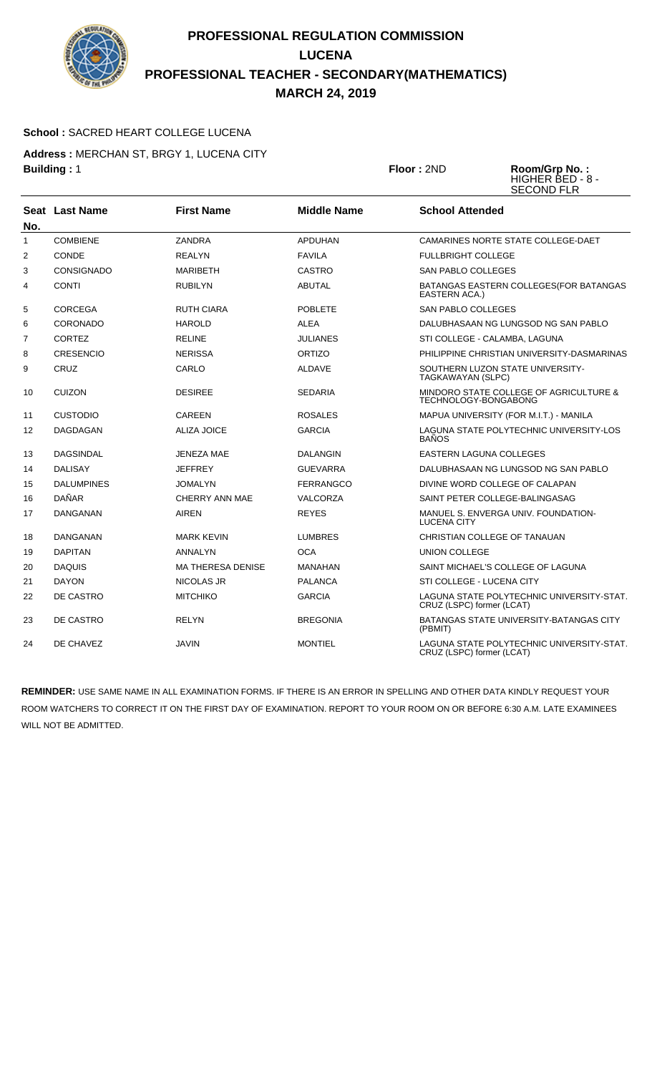

### **School :** SACRED HEART COLLEGE LUCENA

**Address :** MERCHAN ST, BRGY 1, LUCENA CITY **Building :** 1 **Floor :** 2ND **Room/Grp No. :**

HIGHER BED - 8 - SECOND FLR

|                | <b>Seat Last Name</b> | <b>First Name</b>        | <b>Middle Name</b> | <b>School Attended</b>                                                 |
|----------------|-----------------------|--------------------------|--------------------|------------------------------------------------------------------------|
| No.            |                       |                          |                    |                                                                        |
| $\mathbf{1}$   | <b>COMBIENE</b>       | <b>ZANDRA</b>            | <b>APDUHAN</b>     | CAMARINES NORTE STATE COLLEGE-DAET                                     |
| 2              | CONDE                 | <b>REALYN</b>            | <b>FAVILA</b>      | <b>FULLBRIGHT COLLEGE</b>                                              |
| 3              | <b>CONSIGNADO</b>     | <b>MARIBETH</b>          | <b>CASTRO</b>      | SAN PABLO COLLEGES                                                     |
| 4              | <b>CONTI</b>          | <b>RUBILYN</b>           | <b>ABUTAL</b>      | BATANGAS EASTERN COLLEGES (FOR BATANGAS<br>EASTERN ACA.)               |
| 5              | <b>CORCEGA</b>        | <b>RUTH CIARA</b>        | <b>POBLETE</b>     | SAN PABLO COLLEGES                                                     |
| 6              | CORONADO              | <b>HAROLD</b>            | ALEA               | DALUBHASAAN NG LUNGSOD NG SAN PABLO                                    |
| $\overline{7}$ | <b>CORTEZ</b>         | <b>RELINE</b>            | <b>JULIANES</b>    | STI COLLEGE - CALAMBA, LAGUNA                                          |
| 8              | <b>CRESENCIO</b>      | <b>NERISSA</b>           | <b>ORTIZO</b>      | PHILIPPINE CHRISTIAN UNIVERSITY-DASMARINAS                             |
| 9              | CRUZ                  | CARLO                    | <b>ALDAVE</b>      | SOUTHERN LUZON STATE UNIVERSITY-<br>TAGKAWAYAN (SLPC)                  |
| 10             | <b>CUIZON</b>         | <b>DESIREE</b>           | <b>SEDARIA</b>     | MINDORO STATE COLLEGE OF AGRICULTURE &<br>TECHNOLOGY-BONGABONG         |
| 11             | <b>CUSTODIO</b>       | <b>CAREEN</b>            | <b>ROSALES</b>     | MAPUA UNIVERSITY (FOR M.I.T.) - MANILA                                 |
| 12             | <b>DAGDAGAN</b>       | ALIZA JOICE              | <b>GARCIA</b>      | LAGUNA STATE POLYTECHNIC UNIVERSITY-LOS<br><b>BANOS</b>                |
| 13             | <b>DAGSINDAL</b>      | <b>JENEZA MAE</b>        | <b>DALANGIN</b>    | EASTERN LAGUNA COLLEGES                                                |
| 14             | <b>DALISAY</b>        | <b>JEFFREY</b>           | <b>GUEVARRA</b>    | DALUBHASAAN NG LUNGSOD NG SAN PABLO                                    |
| 15             | <b>DALUMPINES</b>     | <b>JOMALYN</b>           | <b>FERRANGCO</b>   | DIVINE WORD COLLEGE OF CALAPAN                                         |
| 16             | <b>DAÑAR</b>          | CHERRY ANN MAE           | <b>VALCORZA</b>    | SAINT PETER COLLEGE-BALINGASAG                                         |
| 17             | <b>DANGANAN</b>       | <b>AIREN</b>             | <b>REYES</b>       | MANUEL S. ENVERGA UNIV. FOUNDATION-<br><b>LUCENA CITY</b>              |
| 18             | <b>DANGANAN</b>       | <b>MARK KEVIN</b>        | <b>LUMBRES</b>     | CHRISTIAN COLLEGE OF TANAUAN                                           |
| 19             | <b>DAPITAN</b>        | ANNALYN                  | <b>OCA</b>         | UNION COLLEGE                                                          |
| 20             | <b>DAQUIS</b>         | <b>MA THERESA DENISE</b> | <b>MANAHAN</b>     | SAINT MICHAEL'S COLLEGE OF LAGUNA                                      |
| 21             | <b>DAYON</b>          | NICOLAS JR               | <b>PALANCA</b>     | STI COLLEGE - LUCENA CITY                                              |
| 22             | DE CASTRO             | <b>MITCHIKO</b>          | <b>GARCIA</b>      | LAGUNA STATE POLYTECHNIC UNIVERSITY-STAT.<br>CRUZ (LSPC) former (LCAT) |
| 23             | DE CASTRO             | <b>RELYN</b>             | <b>BREGONIA</b>    | BATANGAS STATE UNIVERSITY-BATANGAS CITY<br>(PBMIT)                     |
| 24             | DE CHAVEZ             | <b>JAVIN</b>             | <b>MONTIEL</b>     | LAGUNA STATE POLYTECHNIC UNIVERSITY-STAT.<br>CRUZ (LSPC) former (LCAT) |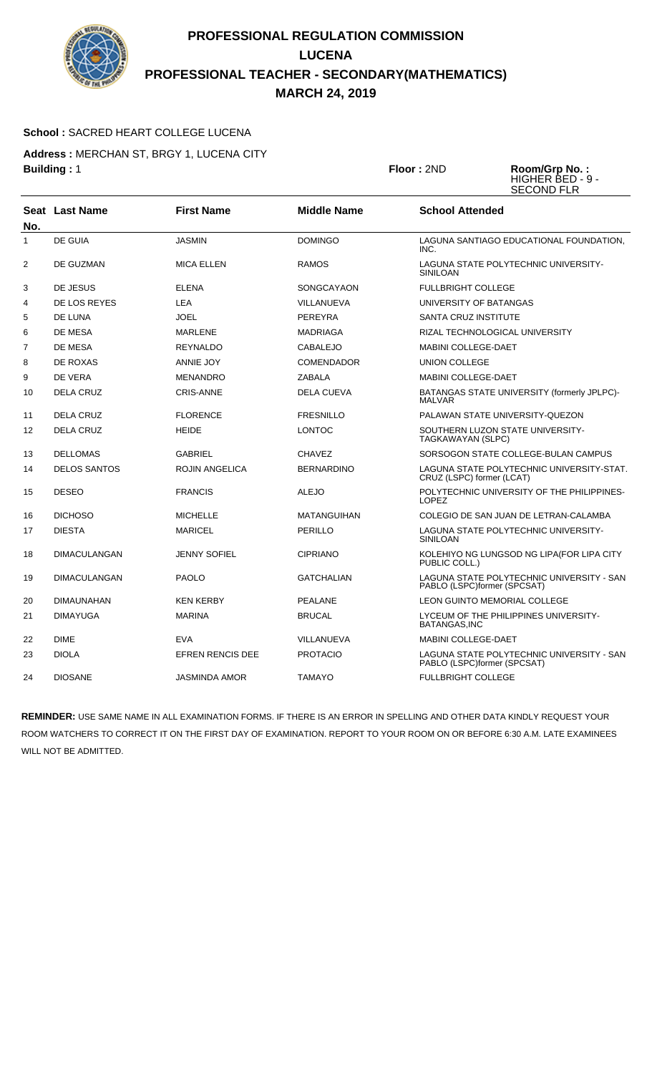

### **School :** SACRED HEART COLLEGE LUCENA

**Address :** MERCHAN ST, BRGY 1, LUCENA CITY **Building :** 1 **Floor :** 2ND **Room/Grp No. :**

HIGHER BED - 9 - SECOND FLR

| No.            | Seat Last Name      | <b>First Name</b>       | <b>Middle Name</b> | <b>School Attended</b>                                                   |
|----------------|---------------------|-------------------------|--------------------|--------------------------------------------------------------------------|
| $\mathbf{1}$   | DE GUIA             | <b>JASMIN</b>           | <b>DOMINGO</b>     | LAGUNA SANTIAGO EDUCATIONAL FOUNDATION,<br>INC.                          |
| 2              | DE GUZMAN           | <b>MICA ELLEN</b>       | <b>RAMOS</b>       | LAGUNA STATE POLYTECHNIC UNIVERSITY-<br><b>SINILOAN</b>                  |
| 3              | DE JESUS            | <b>ELENA</b>            | <b>SONGCAYAON</b>  | <b>FULLBRIGHT COLLEGE</b>                                                |
| $\overline{4}$ | DE LOS REYES        | LEA                     | VILLANUEVA         | UNIVERSITY OF BATANGAS                                                   |
| 5              | DE LUNA             | <b>JOEL</b>             | <b>PEREYRA</b>     | SANTA CRUZ INSTITUTE                                                     |
| 6              | DE MESA             | MARLENE                 | <b>MADRIAGA</b>    | RIZAL TECHNOLOGICAL UNIVERSITY                                           |
| $\overline{7}$ | DE MESA             | <b>REYNALDO</b>         | <b>CABALEJO</b>    | <b>MABINI COLLEGE-DAET</b>                                               |
| 8              | <b>DE ROXAS</b>     | <b>ANNIE JOY</b>        | <b>COMENDADOR</b>  | <b>UNION COLLEGE</b>                                                     |
| 9              | DE VERA             | <b>MENANDRO</b>         | <b>ZABALA</b>      | <b>MABINI COLLEGE-DAET</b>                                               |
| 10             | <b>DELA CRUZ</b>    | <b>CRIS-ANNE</b>        | <b>DELA CUEVA</b>  | BATANGAS STATE UNIVERSITY (formerly JPLPC)-<br><b>MALVAR</b>             |
| 11             | DELA CRUZ           | <b>FLORENCE</b>         | <b>FRESNILLO</b>   | PALAWAN STATE UNIVERSITY-QUEZON                                          |
| 12             | <b>DELA CRUZ</b>    | <b>HEIDE</b>            | <b>LONTOC</b>      | SOUTHERN LUZON STATE UNIVERSITY-<br>TAGKAWAYAN (SLPC)                    |
| 13             | <b>DELLOMAS</b>     | <b>GABRIEL</b>          | <b>CHAVEZ</b>      | SORSOGON STATE COLLEGE-BULAN CAMPUS                                      |
| 14             | <b>DELOS SANTOS</b> | <b>ROJIN ANGELICA</b>   | <b>BERNARDINO</b>  | LAGUNA STATE POLYTECHNIC UNIVERSITY-STAT.<br>CRUZ (LSPC) former (LCAT)   |
| 15             | <b>DESEO</b>        | <b>FRANCIS</b>          | <b>ALEJO</b>       | POLYTECHNIC UNIVERSITY OF THE PHILIPPINES-<br><b>LOPEZ</b>               |
| 16             | <b>DICHOSO</b>      | <b>MICHELLE</b>         | <b>MATANGUIHAN</b> | COLEGIO DE SAN JUAN DE LETRAN-CALAMBA                                    |
| 17             | <b>DIESTA</b>       | <b>MARICEL</b>          | <b>PERILLO</b>     | LAGUNA STATE POLYTECHNIC UNIVERSITY-<br><b>SINILOAN</b>                  |
| 18             | <b>DIMACULANGAN</b> | <b>JENNY SOFIEL</b>     | <b>CIPRIANO</b>    | KOLEHIYO NG LUNGSOD NG LIPA (FOR LIPA CITY<br>PUBLIC COLL.)              |
| 19             | <b>DIMACULANGAN</b> | <b>PAOLO</b>            | <b>GATCHALIAN</b>  | LAGUNA STATE POLYTECHNIC UNIVERSITY - SAN<br>PABLO (LSPC)former (SPCSAT) |
| 20             | <b>DIMAUNAHAN</b>   | <b>KEN KERBY</b>        | <b>PEALANE</b>     | <b>LEON GUINTO MEMORIAL COLLEGE</b>                                      |
| 21             | <b>DIMAYUGA</b>     | <b>MARINA</b>           | <b>BRUCAL</b>      | LYCEUM OF THE PHILIPPINES UNIVERSITY-<br>BATANGAS, INC                   |
| 22             | <b>DIME</b>         | <b>EVA</b>              | VILLANUEVA         | MABINI COLLEGE-DAET                                                      |
| 23             | <b>DIOLA</b>        | <b>EFREN RENCIS DEE</b> | <b>PROTACIO</b>    | LAGUNA STATE POLYTECHNIC UNIVERSITY - SAN<br>PABLO (LSPC)former (SPCSAT) |
| 24             | <b>DIOSANE</b>      | <b>JASMINDA AMOR</b>    | <b>TAMAYO</b>      | <b>FULLBRIGHT COLLEGE</b>                                                |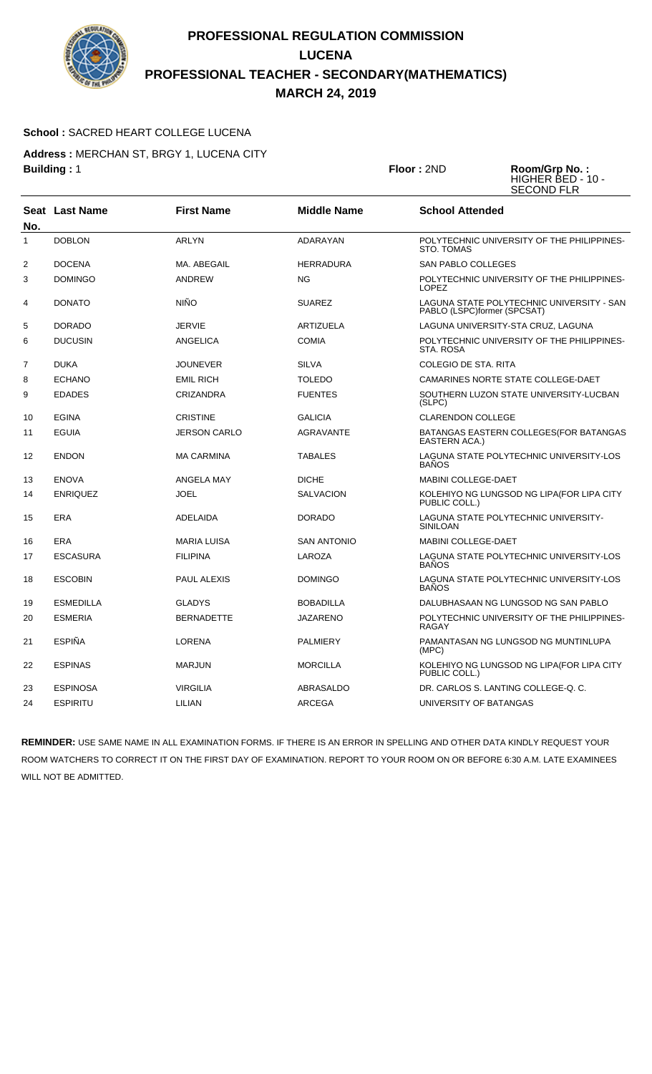

### **School :** SACRED HEART COLLEGE LUCENA

**Address :** MERCHAN ST, BRGY 1, LUCENA CITY **Building :** 1 **Floor :** 2ND **Room/Grp No. :**

| <b>oor: 2ND</b> |  |
|-----------------|--|
|                 |  |

HIGHER BED - 10 - SECOND FLR

| No.          | <b>Seat Last Name</b> | <b>First Name</b>   | <b>Middle Name</b> | <b>School Attended</b>                                                   |
|--------------|-----------------------|---------------------|--------------------|--------------------------------------------------------------------------|
| $\mathbf{1}$ | <b>DOBLON</b>         | <b>ARLYN</b>        | ADARAYAN           | POLYTECHNIC UNIVERSITY OF THE PHILIPPINES-<br><b>STO. TOMAS</b>          |
| 2            | <b>DOCENA</b>         | MA. ABEGAIL         | <b>HERRADURA</b>   | <b>SAN PABLO COLLEGES</b>                                                |
| 3            | <b>DOMINGO</b>        | <b>ANDREW</b>       | <b>NG</b>          | POLYTECHNIC UNIVERSITY OF THE PHILIPPINES-<br><b>LOPEZ</b>               |
| 4            | <b>DONATO</b>         | <b>NIÑO</b>         | <b>SUAREZ</b>      | LAGUNA STATE POLYTECHNIC UNIVERSITY - SAN<br>PABLO (LSPC)former (SPCSAT) |
| 5            | <b>DORADO</b>         | <b>JERVIE</b>       | <b>ARTIZUELA</b>   | LAGUNA UNIVERSITY-STA CRUZ, LAGUNA                                       |
| 6            | <b>DUCUSIN</b>        | <b>ANGELICA</b>     | <b>COMIA</b>       | POLYTECHNIC UNIVERSITY OF THE PHILIPPINES-<br>STA. ROSA                  |
| 7            | <b>DUKA</b>           | <b>JOUNEVER</b>     | <b>SILVA</b>       | <b>COLEGIO DE STA, RITA</b>                                              |
| 8            | <b>ECHANO</b>         | <b>EMIL RICH</b>    | <b>TOLEDO</b>      | CAMARINES NORTE STATE COLLEGE-DAET                                       |
| 9            | <b>EDADES</b>         | <b>CRIZANDRA</b>    | <b>FUENTES</b>     | SOUTHERN LUZON STATE UNIVERSITY-LUCBAN<br>(SLPC)                         |
| 10           | <b>EGINA</b>          | <b>CRISTINE</b>     | <b>GALICIA</b>     | <b>CLARENDON COLLEGE</b>                                                 |
| 11           | <b>EGUIA</b>          | <b>JERSON CARLO</b> | <b>AGRAVANTE</b>   | BATANGAS EASTERN COLLEGES (FOR BATANGAS<br>EASTERN ACA.)                 |
| 12           | <b>ENDON</b>          | <b>MA CARMINA</b>   | <b>TABALES</b>     | LAGUNA STATE POLYTECHNIC UNIVERSITY-LOS<br><b>BAÑOS</b>                  |
| 13           | <b>ENOVA</b>          | ANGELA MAY          | <b>DICHE</b>       | <b>MABINI COLLEGE-DAET</b>                                               |
| 14           | <b>ENRIQUEZ</b>       | <b>JOEL</b>         | <b>SALVACION</b>   | KOLEHIYO NG LUNGSOD NG LIPA(FOR LIPA CITY<br>PUBLIC COLL.)               |
| 15           | <b>ERA</b>            | ADELAIDA            | <b>DORADO</b>      | LAGUNA STATE POLYTECHNIC UNIVERSITY-<br>SINILOAN                         |
| 16           | ERA                   | <b>MARIA LUISA</b>  | <b>SAN ANTONIO</b> | <b>MABINI COLLEGE-DAET</b>                                               |
| 17           | <b>ESCASURA</b>       | <b>FILIPINA</b>     | LAROZA             | LAGUNA STATE POLYTECHNIC UNIVERSITY-LOS<br><b>BANOS</b>                  |
| 18           | <b>ESCOBIN</b>        | PAUL ALEXIS         | <b>DOMINGO</b>     | LAGUNA STATE POLYTECHNIC UNIVERSITY-LOS<br><b>BAÑOS</b>                  |
| 19           | <b>ESMEDILLA</b>      | <b>GLADYS</b>       | <b>BOBADILLA</b>   | DALUBHASAAN NG LUNGSOD NG SAN PABLO                                      |
| 20           | <b>ESMERIA</b>        | <b>BERNADETTE</b>   | <b>JAZARENO</b>    | POLYTECHNIC UNIVERSITY OF THE PHILIPPINES-<br><b>RAGAY</b>               |
| 21           | <b>ESPIÑA</b>         | <b>LORENA</b>       | <b>PALMIERY</b>    | PAMANTASAN NG LUNGSOD NG MUNTINLUPA<br>(MPC)                             |
| 22           | <b>ESPINAS</b>        | <b>MARJUN</b>       | <b>MORCILLA</b>    | KOLEHIYO NG LUNGSOD NG LIPA(FOR LIPA CITY<br>PUBLIC COLL.)               |
| 23           | <b>ESPINOSA</b>       | <b>VIRGILIA</b>     | ABRASALDO          | DR. CARLOS S. LANTING COLLEGE-Q. C.                                      |
| 24           | <b>ESPIRITU</b>       | LILIAN              | <b>ARCEGA</b>      | UNIVERSITY OF BATANGAS                                                   |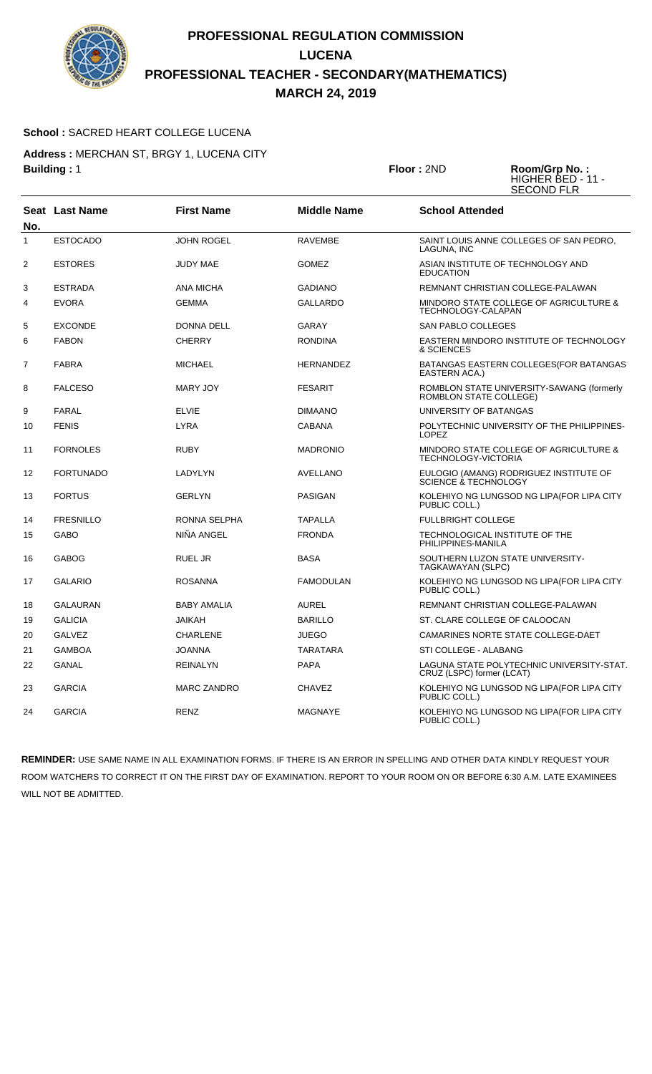

### **School :** SACRED HEART COLLEGE LUCENA

**Address :** MERCHAN ST, BRGY 1, LUCENA CITY **Building :** 1 **Floor :** 2ND **Room/Grp No. :**

| Floor: 2ND | Room/Grp No.:     |
|------------|-------------------|
|            | HIGHER BED - 11 - |
|            | SECOND ELR        |

|                         |                       |                    |                    | <b>SECOND FLR</b>                                                      |
|-------------------------|-----------------------|--------------------|--------------------|------------------------------------------------------------------------|
| No.                     | <b>Seat</b> Last Name | <b>First Name</b>  | <b>Middle Name</b> | <b>School Attended</b>                                                 |
| 1                       | <b>ESTOCADO</b>       | <b>JOHN ROGEL</b>  | <b>RAVEMBE</b>     | SAINT LOUIS ANNE COLLEGES OF SAN PEDRO.<br>LAGUNA, INC                 |
| $\overline{\mathbf{c}}$ | <b>ESTORES</b>        | JUDY MAE           | <b>GOMEZ</b>       | ASIAN INSTITUTE OF TECHNOLOGY AND<br><b>EDUCATION</b>                  |
| 3                       | <b>ESTRADA</b>        | ANA MICHA          | <b>GADIANO</b>     | REMNANT CHRISTIAN COLLEGE-PALAWAN                                      |
| 4                       | <b>EVORA</b>          | <b>GEMMA</b>       | <b>GALLARDO</b>    | MINDORO STATE COLLEGE OF AGRICULTURE &<br>TECHNOLOGY-CALAPAN           |
| 5                       | <b>EXCONDE</b>        | DONNA DELL         | GARAY              | SAN PABLO COLLEGES                                                     |
| 6                       | <b>FABON</b>          | <b>CHERRY</b>      | <b>RONDINA</b>     | EASTERN MINDORO INSTITUTE OF TECHNOLOGY<br>& SCIENCES                  |
| 7                       | <b>FABRA</b>          | <b>MICHAEL</b>     | <b>HERNANDEZ</b>   | BATANGAS EASTERN COLLEGES (FOR BATANGAS<br>EASTERN ACA.)               |
| 8                       | <b>FALCESO</b>        | <b>MARY JOY</b>    | <b>FESARIT</b>     | ROMBLON STATE UNIVERSITY-SAWANG (formerly<br>ROMBLON STATE COLLEGE)    |
| 9                       | FARAL                 | <b>ELVIE</b>       | <b>DIMAANO</b>     | UNIVERSITY OF BATANGAS                                                 |
| 10                      | <b>FENIS</b>          | <b>LYRA</b>        | <b>CABANA</b>      | POLYTECHNIC UNIVERSITY OF THE PHILIPPINES-<br><b>LOPEZ</b>             |
| 11                      | <b>FORNOLES</b>       | <b>RUBY</b>        | <b>MADRONIO</b>    | MINDORO STATE COLLEGE OF AGRICULTURE &<br>TECHNOLOGY-VICTORIA          |
| 12                      | <b>FORTUNADO</b>      | LADYLYN            | <b>AVELLANO</b>    | EULOGIO (AMANG) RODRIGUEZ INSTITUTE OF<br>SCIENCE & TECHNOLOGY         |
| 13                      | <b>FORTUS</b>         | GERLYN             | <b>PASIGAN</b>     | KOLEHIYO NG LUNGSOD NG LIPA(FOR LIPA CITY<br>PUBLIC COLL.)             |
| 14                      | <b>FRESNILLO</b>      | RONNA SELPHA       | <b>TAPALLA</b>     | <b>FULLBRIGHT COLLEGE</b>                                              |
| 15                      | <b>GABO</b>           | NIÑA ANGEL         | <b>FRONDA</b>      | TECHNOLOGICAL INSTITUTE OF THE<br>PHILIPPINES-MANILA                   |
| 16                      | <b>GABOG</b>          | RUEL JR            | <b>BASA</b>        | SOUTHERN LUZON STATE UNIVERSITY-<br>TAGKAWAYAN (SLPC)                  |
| 17                      | <b>GALARIO</b>        | <b>ROSANNA</b>     | <b>FAMODULAN</b>   | KOLEHIYO NG LUNGSOD NG LIPA(FOR LIPA CITY<br>PUBLIC COLL.)             |
| 18                      | <b>GALAURAN</b>       | <b>BABY AMALIA</b> | <b>AUREL</b>       | REMNANT CHRISTIAN COLLEGE-PALAWAN                                      |
| 19                      | <b>GALICIA</b>        | <b>JAIKAH</b>      | <b>BARILLO</b>     | ST. CLARE COLLEGE OF CALOOCAN                                          |
| 20                      | <b>GALVEZ</b>         | <b>CHARLENE</b>    | <b>JUEGO</b>       | CAMARINES NORTE STATE COLLEGE-DAET                                     |
| 21                      | <b>GAMBOA</b>         | JOANNA             | <b>TARATARA</b>    | STI COLLEGE - ALABANG                                                  |
| 22                      | GANAL                 | <b>REINALYN</b>    | <b>PAPA</b>        | LAGUNA STATE POLYTECHNIC UNIVERSITY-STAT.<br>CRUZ (LSPC) former (LCAT) |
| 23                      | <b>GARCIA</b>         | <b>MARC ZANDRO</b> | <b>CHAVEZ</b>      | KOLEHIYO NG LUNGSOD NG LIPA(FOR LIPA CITY<br>PUBLIC COLL.)             |
| 24                      | <b>GARCIA</b>         | <b>RENZ</b>        | <b>MAGNAYE</b>     | KOLEHIYO NG LUNGSOD NG LIPA(FOR LIPA CITY<br>PUBLIC COLL.)             |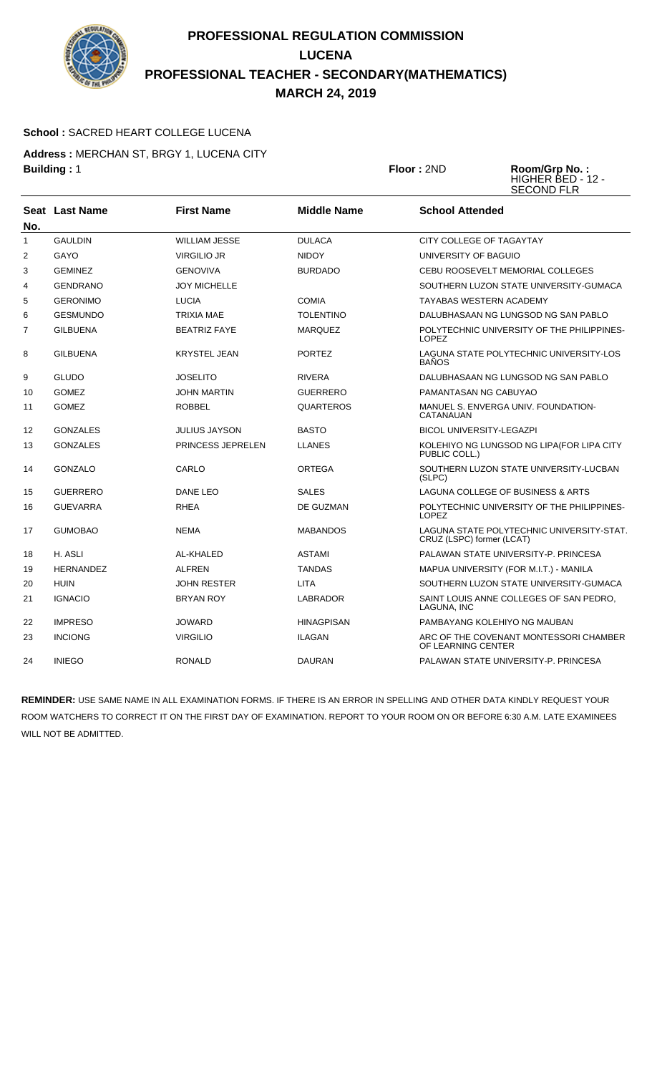

### **School :** SACRED HEART COLLEGE LUCENA

**Address :** MERCHAN ST, BRGY 1, LUCENA CITY **Building :** 1 **Floor :** 2ND **Room/Grp No. :**

HIGHER BED - 12 - SECOND FLR

|                   | Seat Last Name   | <b>First Name</b>        | <b>Middle Name</b> | <b>School Attended</b>                                                 |
|-------------------|------------------|--------------------------|--------------------|------------------------------------------------------------------------|
| No.               |                  |                          |                    |                                                                        |
| $\mathbf{1}$      | <b>GAULDIN</b>   | <b>WILLIAM JESSE</b>     | <b>DULACA</b>      | CITY COLLEGE OF TAGAYTAY                                               |
| 2                 | GAYO             | <b>VIRGILIO JR</b>       | <b>NIDOY</b>       | UNIVERSITY OF BAGUIO                                                   |
| 3                 | <b>GEMINEZ</b>   | <b>GENOVIVA</b>          | <b>BURDADO</b>     | CEBU ROOSEVELT MEMORIAL COLLEGES                                       |
| 4                 | <b>GENDRANO</b>  | <b>JOY MICHELLE</b>      |                    | SOUTHERN LUZON STATE UNIVERSITY-GUMACA                                 |
| 5                 | <b>GERONIMO</b>  | <b>LUCIA</b>             | <b>COMIA</b>       | TAYABAS WESTERN ACADEMY                                                |
| 6                 | <b>GESMUNDO</b>  | <b>TRIXIA MAE</b>        | <b>TOLENTINO</b>   | DALUBHASAAN NG LUNGSOD NG SAN PABLO                                    |
| $\overline{7}$    | <b>GILBUENA</b>  | <b>BEATRIZ FAYE</b>      | <b>MARQUEZ</b>     | POLYTECHNIC UNIVERSITY OF THE PHILIPPINES-<br><b>LOPEZ</b>             |
| 8                 | <b>GILBUENA</b>  | <b>KRYSTEL JEAN</b>      | <b>PORTEZ</b>      | LAGUNA STATE POLYTECHNIC UNIVERSITY-LOS<br><b>BAÑOS</b>                |
| 9                 | <b>GLUDO</b>     | <b>JOSELITO</b>          | <b>RIVERA</b>      | DALUBHASAAN NG LUNGSOD NG SAN PABLO                                    |
| 10                | <b>GOMEZ</b>     | <b>JOHN MARTIN</b>       | <b>GUERRERO</b>    | PAMANTASAN NG CABUYAO                                                  |
| 11                | <b>GOMEZ</b>     | <b>ROBBEL</b>            | <b>QUARTEROS</b>   | MANUEL S. ENVERGA UNIV. FOUNDATION-<br><b>CATANAUAN</b>                |
| $12 \overline{ }$ | <b>GONZALES</b>  | <b>JULIUS JAYSON</b>     | <b>BASTO</b>       | <b>BICOL UNIVERSITY-LEGAZPI</b>                                        |
| 13                | <b>GONZALES</b>  | <b>PRINCESS JEPRELEN</b> | <b>LLANES</b>      | KOLEHIYO NG LUNGSOD NG LIPA(FOR LIPA CITY<br>PUBLIC COLL.)             |
| 14                | <b>GONZALO</b>   | CARLO                    | <b>ORTEGA</b>      | SOUTHERN LUZON STATE UNIVERSITY-LUCBAN<br>(SLPC)                       |
| 15                | <b>GUERRERO</b>  | DANE LEO                 | <b>SALES</b>       | LAGUNA COLLEGE OF BUSINESS & ARTS                                      |
| 16                | <b>GUEVARRA</b>  | <b>RHEA</b>              | DE GUZMAN          | POLYTECHNIC UNIVERSITY OF THE PHILIPPINES-<br>LOPEZ                    |
| 17                | <b>GUMOBAO</b>   | <b>NEMA</b>              | <b>MABANDOS</b>    | LAGUNA STATE POLYTECHNIC UNIVERSITY-STAT.<br>CRUZ (LSPC) former (LCAT) |
| 18                | H. ASLI          | AL-KHALED                | <b>ASTAMI</b>      | PALAWAN STATE UNIVERSITY-P. PRINCESA                                   |
| 19                | <b>HERNANDEZ</b> | <b>ALFREN</b>            | <b>TANDAS</b>      | MAPUA UNIVERSITY (FOR M.I.T.) - MANILA                                 |
| 20                | <b>HUIN</b>      | <b>JOHN RESTER</b>       | <b>LITA</b>        | SOUTHERN LUZON STATE UNIVERSITY-GUMACA                                 |
| 21                | <b>IGNACIO</b>   | <b>BRYAN ROY</b>         | LABRADOR           | SAINT LOUIS ANNE COLLEGES OF SAN PEDRO,<br>LAGUNA. INC                 |
| 22                | <b>IMPRESO</b>   | <b>JOWARD</b>            | <b>HINAGPISAN</b>  | PAMBAYANG KOLEHIYO NG MAUBAN                                           |
| 23                | <b>INCIONG</b>   | <b>VIRGILIO</b>          | <b>ILAGAN</b>      | ARC OF THE COVENANT MONTESSORI CHAMBER<br>OF LEARNING CENTER           |
| 24                | <b>INIEGO</b>    | <b>RONALD</b>            | <b>DAURAN</b>      | PALAWAN STATE UNIVERSITY-P. PRINCESA                                   |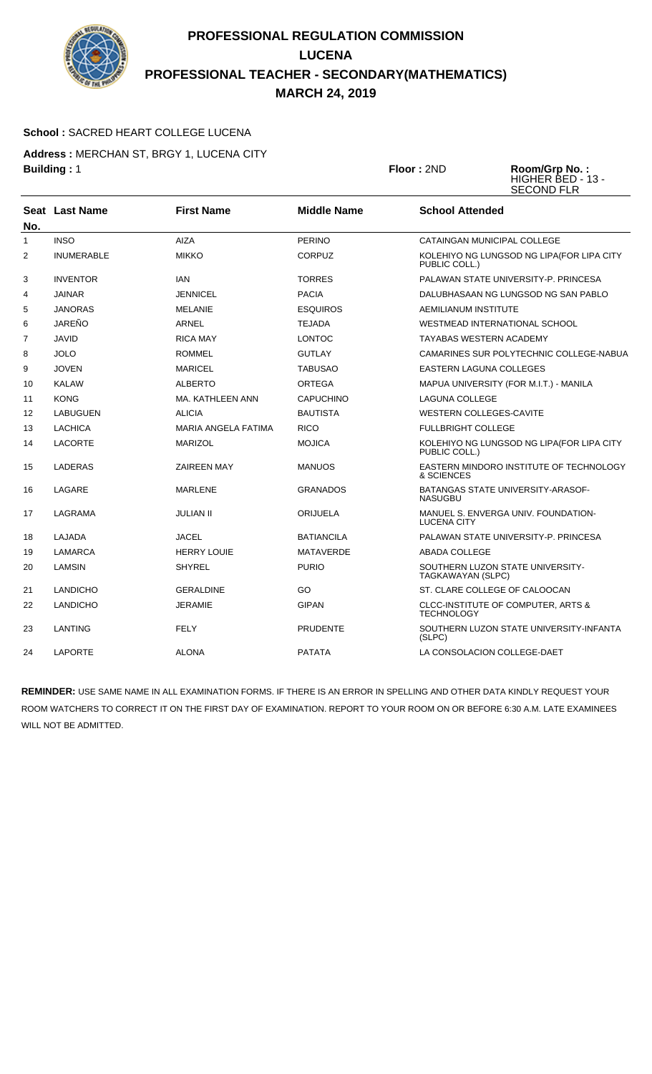

### **School :** SACRED HEART COLLEGE LUCENA

**Address :** MERCHAN ST, BRGY 1, LUCENA CITY **Building :** 1 **Floor :** 2ND **Room/Grp No. :**

HIGHER BED - 13 - SECOND FLR

|                | <b>Seat Last Name</b> | <b>First Name</b>   | <b>Middle Name</b> | <b>School Attended</b>                                     |
|----------------|-----------------------|---------------------|--------------------|------------------------------------------------------------|
| No.            |                       |                     |                    |                                                            |
| $\mathbf{1}$   | <b>INSO</b>           | <b>AIZA</b>         | <b>PERINO</b>      | CATAINGAN MUNICIPAL COLLEGE                                |
| $\overline{2}$ | <b>INUMERABLE</b>     | <b>MIKKO</b>        | <b>CORPUZ</b>      | KOLEHIYO NG LUNGSOD NG LIPA(FOR LIPA CITY<br>PUBLIC COLL.) |
| 3              | <b>INVENTOR</b>       | <b>IAN</b>          | <b>TORRES</b>      | PALAWAN STATE UNIVERSITY-P. PRINCESA                       |
| 4              | <b>JAINAR</b>         | JENNICEL            | <b>PACIA</b>       | DALUBHASAAN NG LUNGSOD NG SAN PABLO                        |
| 5              | <b>JANORAS</b>        | <b>MELANIE</b>      | <b>ESQUIROS</b>    | AEMILIANUM INSTITUTE                                       |
| 6              | JAREÑO                | ARNEL               | <b>TEJADA</b>      | WESTMEAD INTERNATIONAL SCHOOL                              |
| $\overline{7}$ | <b>JAVID</b>          | <b>RICA MAY</b>     | <b>LONTOC</b>      | <b>TAYABAS WESTERN ACADEMY</b>                             |
| 8              | <b>JOLO</b>           | <b>ROMMEL</b>       | <b>GUTLAY</b>      | CAMARINES SUR POLYTECHNIC COLLEGE-NABUA                    |
| 9              | <b>JOVEN</b>          | <b>MARICEL</b>      | <b>TABUSAO</b>     | <b>EASTERN LAGUNA COLLEGES</b>                             |
| 10             | <b>KALAW</b>          | <b>ALBERTO</b>      | <b>ORTEGA</b>      | MAPUA UNIVERSITY (FOR M.I.T.) - MANILA                     |
| 11             | <b>KONG</b>           | MA. KATHLEEN ANN    | CAPUCHINO          | <b>LAGUNA COLLEGE</b>                                      |
| 12             | <b>LABUGUEN</b>       | <b>ALICIA</b>       | <b>BAUTISTA</b>    | WESTERN COLLEGES-CAVITE                                    |
| 13             | <b>LACHICA</b>        | MARIA ANGELA FATIMA | <b>RICO</b>        | <b>FULLBRIGHT COLLEGE</b>                                  |
| 14             | <b>LACORTE</b>        | <b>MARIZOL</b>      | <b>MOJICA</b>      | KOLEHIYO NG LUNGSOD NG LIPA(FOR LIPA CITY<br>PUBLIC COLL.) |
| 15             | <b>LADERAS</b>        | ZAIREEN MAY         | <b>MANUOS</b>      | EASTERN MINDORO INSTITUTE OF TECHNOLOGY<br>& SCIENCES      |
| 16             | LAGARE                | <b>MARLENE</b>      | <b>GRANADOS</b>    | BATANGAS STATE UNIVERSITY ARASOF-<br><b>NASUGBU</b>        |
| 17             | LAGRAMA               | JULIAN II           | <b>ORIJUELA</b>    | MANUEL S. ENVERGA UNIV. FOUNDATION-<br><b>LUCENA CITY</b>  |
| 18             | LAJADA                | JACEL               | <b>BATIANCILA</b>  | PALAWAN STATE UNIVERSITY-P. PRINCESA                       |
| 19             | <b>LAMARCA</b>        | <b>HERRY LOUIE</b>  | <b>MATAVERDE</b>   | ABADA COLLEGE                                              |
| 20             | LAMSIN                | SHYREL              | <b>PURIO</b>       | SOUTHERN LUZON STATE UNIVERSITY-<br>TAGKAWAYAN (SLPC)      |
| 21             | <b>LANDICHO</b>       | <b>GERALDINE</b>    | GO                 | ST. CLARE COLLEGE OF CALOOCAN                              |
| 22             | <b>LANDICHO</b>       | JERAMIE             | <b>GIPAN</b>       | CLCC-INSTITUTE OF COMPUTER, ARTS &<br><b>TECHNOLOGY</b>    |
| 23             | LANTING               | <b>FELY</b>         | <b>PRUDENTE</b>    | SOUTHERN LUZON STATE UNIVERSITY-INFANTA<br>(SLPC)          |
| 24             | <b>LAPORTE</b>        | <b>ALONA</b>        | <b>PATATA</b>      | LA CONSOLACION COLLEGE-DAET                                |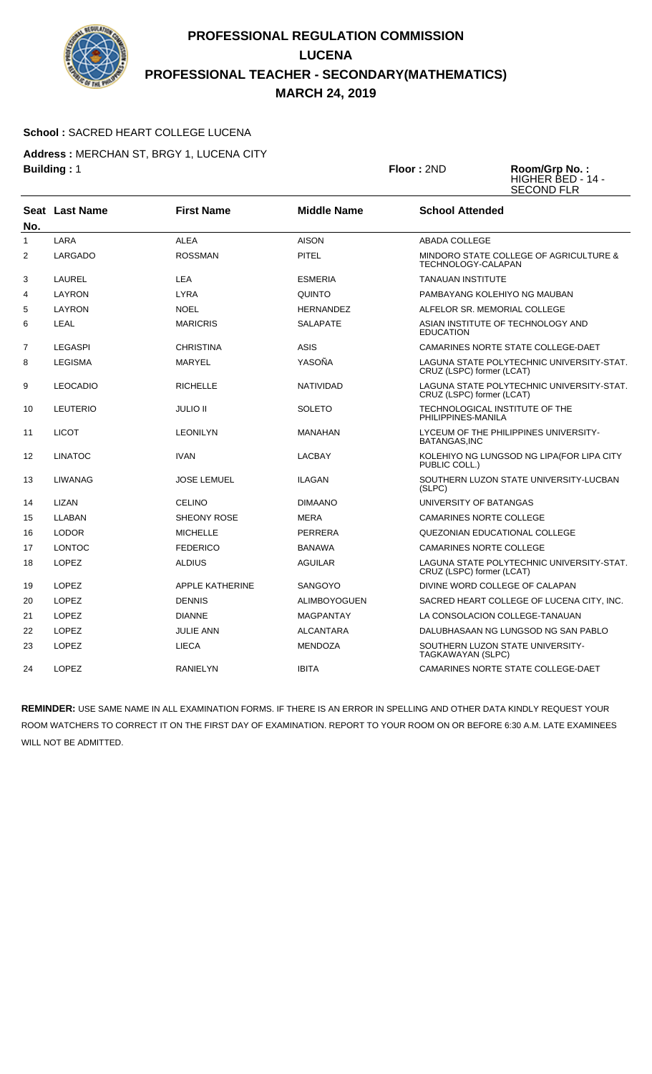

### **School :** SACRED HEART COLLEGE LUCENA

**Address :** MERCHAN ST, BRGY 1, LUCENA CITY **Building :** 1 **Floor :** 2ND **Room/Grp No. :**

HIGHER BED - 14 - SECOND FLR

|                | <b>Seat Last Name</b> | <b>First Name</b>      | <b>Middle Name</b>  | <b>School Attended</b>                                                 |
|----------------|-----------------------|------------------------|---------------------|------------------------------------------------------------------------|
| No.            |                       |                        |                     |                                                                        |
| $\mathbf{1}$   | LARA                  | <b>ALEA</b>            | <b>AISON</b>        | ABADA COLLEGE                                                          |
| $\overline{2}$ | LARGADO               | <b>ROSSMAN</b>         | <b>PITEL</b>        | MINDORO STATE COLLEGE OF AGRICULTURE &<br><b>TECHNOLOGY-CALAPAN</b>    |
| 3              | <b>LAUREL</b>         | <b>LEA</b>             | <b>ESMERIA</b>      | <b>TANAUAN INSTITUTE</b>                                               |
| 4              | LAYRON                | <b>LYRA</b>            | <b>QUINTO</b>       | PAMBAYANG KOLEHIYO NG MAUBAN                                           |
| 5              | LAYRON                | <b>NOEL</b>            | <b>HERNANDEZ</b>    | ALFELOR SR. MEMORIAL COLLEGE                                           |
| 6              | <b>LEAL</b>           | <b>MARICRIS</b>        | <b>SALAPATE</b>     | ASIAN INSTITUTE OF TECHNOLOGY AND<br><b>EDUCATION</b>                  |
| $\overline{7}$ | <b>LEGASPI</b>        | <b>CHRISTINA</b>       | <b>ASIS</b>         | CAMARINES NORTE STATE COLLEGE-DAET                                     |
| 8              | <b>LEGISMA</b>        | <b>MARYEL</b>          | YASOÑA              | LAGUNA STATE POLYTECHNIC UNIVERSITY-STAT.<br>CRUZ (LSPC) former (LCAT) |
| 9              | <b>LEOCADIO</b>       | <b>RICHELLE</b>        | <b>NATIVIDAD</b>    | LAGUNA STATE POLYTECHNIC UNIVERSITY-STAT.<br>CRUZ (LSPC) former (LCAT) |
| 10             | <b>LEUTERIO</b>       | <b>JULIO II</b>        | SOLETO              | TECHNOLOGICAL INSTITUTE OF THE<br>PHILIPPINES-MANILA                   |
| 11             | <b>LICOT</b>          | <b>LEONILYN</b>        | <b>MANAHAN</b>      | LYCEUM OF THE PHILIPPINES UNIVERSITY-<br>BATANGAS, INC                 |
| 12             | <b>LINATOC</b>        | <b>IVAN</b>            | <b>LACBAY</b>       | KOLEHIYO NG LUNGSOD NG LIPA(FOR LIPA CITY<br>PUBLIC COLL.)             |
| 13             | <b>LIWANAG</b>        | <b>JOSE LEMUEL</b>     | <b>ILAGAN</b>       | SOUTHERN LUZON STATE UNIVERSITY-LUCBAN<br>(SLPC)                       |
| 14             | LIZAN                 | <b>CELINO</b>          | <b>DIMAANO</b>      | UNIVERSITY OF BATANGAS                                                 |
| 15             | LLABAN                | SHEONY ROSE            | <b>MERA</b>         | <b>CAMARINES NORTE COLLEGE</b>                                         |
| 16             | <b>LODOR</b>          | <b>MICHELLE</b>        | <b>PERRERA</b>      | QUEZONIAN EDUCATIONAL COLLEGE                                          |
| 17             | <b>LONTOC</b>         | <b>FEDERICO</b>        | <b>BANAWA</b>       | <b>CAMARINES NORTE COLLEGE</b>                                         |
| 18             | <b>LOPEZ</b>          | <b>ALDIUS</b>          | <b>AGUILAR</b>      | LAGUNA STATE POLYTECHNIC UNIVERSITY-STAT.<br>CRUZ (LSPC) former (LCAT) |
| 19             | <b>LOPEZ</b>          | <b>APPLE KATHERINE</b> | <b>SANGOYO</b>      | DIVINE WORD COLLEGE OF CALAPAN                                         |
| 20             | <b>LOPEZ</b>          | <b>DENNIS</b>          | <b>ALIMBOYOGUEN</b> | SACRED HEART COLLEGE OF LUCENA CITY, INC.                              |
| 21             | <b>LOPEZ</b>          | <b>DIANNE</b>          | <b>MAGPANTAY</b>    | LA CONSOLACION COLLEGE-TANAUAN                                         |
| 22             | <b>LOPEZ</b>          | <b>JULIE ANN</b>       | <b>ALCANTARA</b>    | DALUBHASAAN NG LUNGSOD NG SAN PABLO                                    |
| 23             | <b>LOPEZ</b>          | <b>LIECA</b>           | <b>MENDOZA</b>      | SOUTHERN LUZON STATE UNIVERSITY-<br>TAGKAWAYAN (SLPC)                  |
| 24             | <b>LOPEZ</b>          | <b>RANIELYN</b>        | <b>IBITA</b>        | CAMARINES NORTE STATE COLLEGE-DAET                                     |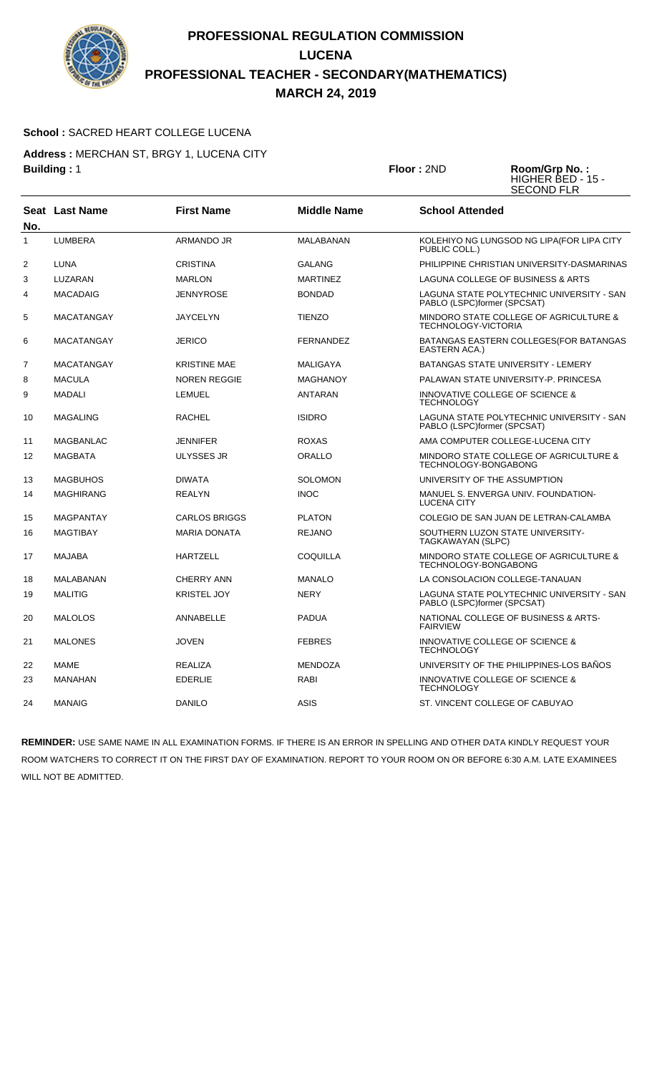

### **School :** SACRED HEART COLLEGE LUCENA

**Address :** MERCHAN ST, BRGY 1, LUCENA CITY **Building :** 1 **Floor :** 2ND **Room/Grp No. :**

| <b>Floor :</b> 2ND | Room/Grp No.:                             |
|--------------------|-------------------------------------------|
|                    | HIGHER BED - 15 -                         |
|                    | $\sim$ $\sim$ $\sim$ $\sim$ $\sim$ $\sim$ |

|                |                       |                      |                    | <b>SECOND FLR</b>                                                        |
|----------------|-----------------------|----------------------|--------------------|--------------------------------------------------------------------------|
| No.            | <b>Seat Last Name</b> | <b>First Name</b>    | <b>Middle Name</b> | <b>School Attended</b>                                                   |
| 1              | <b>LUMBERA</b>        | ARMANDO JR           | <b>MALABANAN</b>   | KOLEHIYO NG LUNGSOD NG LIPA(FOR LIPA CITY<br>PUBLIC COLL.)               |
| $\overline{2}$ | LUNA                  | <b>CRISTINA</b>      | <b>GALANG</b>      | PHILIPPINE CHRISTIAN UNIVERSITY-DASMARINAS                               |
| 3              | LUZARAN               | <b>MARLON</b>        | <b>MARTINEZ</b>    | LAGUNA COLLEGE OF BUSINESS & ARTS                                        |
| 4              | <b>MACADAIG</b>       | <b>JENNYROSE</b>     | <b>BONDAD</b>      | LAGUNA STATE POLYTECHNIC UNIVERSITY - SAN<br>PABLO (LSPC)former (SPCSAT) |
| 5              | <b>MACATANGAY</b>     | <b>JAYCELYN</b>      | <b>TIENZO</b>      | MINDORO STATE COLLEGE OF AGRICULTURE &<br>TECHNOLOGY-VICTORIA            |
| 6              | <b>MACATANGAY</b>     | <b>JERICO</b>        | <b>FERNANDEZ</b>   | BATANGAS EASTERN COLLEGES (FOR BATANGAS<br>EASTERN ACA.)                 |
| $\overline{7}$ | <b>MACATANGAY</b>     | <b>KRISTINE MAE</b>  | <b>MALIGAYA</b>    | <b>BATANGAS STATE UNIVERSITY - LEMERY</b>                                |
| 8              | <b>MACULA</b>         | <b>NOREN REGGIE</b>  | <b>MAGHANOY</b>    | PALAWAN STATE UNIVERSITY-P. PRINCESA                                     |
| 9              | <b>MADALI</b>         | <b>LEMUEL</b>        | <b>ANTARAN</b>     | INNOVATIVE COLLEGE OF SCIENCE &<br><b>TECHNOLOGY</b>                     |
| 10             | <b>MAGALING</b>       | <b>RACHEL</b>        | <b>ISIDRO</b>      | LAGUNA STATE POLYTECHNIC UNIVERSITY - SAN<br>PABLO (LSPC)former (SPCSAT) |
| 11             | <b>MAGBANLAC</b>      | <b>JENNIFER</b>      | <b>ROXAS</b>       | AMA COMPUTER COLLEGE-LUCENA CITY                                         |
| 12             | <b>MAGBATA</b>        | ULYSSES JR           | ORALLO             | MINDORO STATE COLLEGE OF AGRICULTURE &<br>TECHNOLOGY-BONGABONG           |
| 13             | <b>MAGBUHOS</b>       | <b>DIWATA</b>        | <b>SOLOMON</b>     | UNIVERSITY OF THE ASSUMPTION                                             |
| 14             | <b>MAGHIRANG</b>      | <b>REALYN</b>        | <b>INOC</b>        | MANUEL S. ENVERGA UNIV. FOUNDATION-<br><b>LUCENA CITY</b>                |
| 15             | <b>MAGPANTAY</b>      | <b>CARLOS BRIGGS</b> | <b>PLATON</b>      | COLEGIO DE SAN JUAN DE LETRAN-CALAMBA                                    |
| 16             | <b>MAGTIBAY</b>       | <b>MARIA DONATA</b>  | <b>REJANO</b>      | SOUTHERN LUZON STATE UNIVERSITY-<br>TAGKAWAYAN (SLPC)                    |
| 17             | <b>MAJABA</b>         | <b>HARTZELL</b>      | <b>COQUILLA</b>    | MINDORO STATE COLLEGE OF AGRICULTURE &<br>TECHNOLOGY-BONGABONG           |
| 18             | MALABANAN             | <b>CHERRY ANN</b>    | <b>MANALO</b>      | LA CONSOLACION COLLEGE-TANAUAN                                           |
| 19             | <b>MALITIG</b>        | <b>KRISTEL JOY</b>   | <b>NERY</b>        | LAGUNA STATE POLYTECHNIC UNIVERSITY - SAN<br>PABLO (LSPC)former (SPCSAT) |
| 20             | <b>MALOLOS</b>        | ANNABELLE            | <b>PADUA</b>       | NATIONAL COLLEGE OF BUSINESS & ARTS-<br><b>FAIRVIEW</b>                  |
| 21             | <b>MALONES</b>        | <b>JOVEN</b>         | <b>FEBRES</b>      | INNOVATIVE COLLEGE OF SCIENCE &<br><b>TECHNOLOGY</b>                     |
| 22             | MAME                  | <b>REALIZA</b>       | <b>MENDOZA</b>     | UNIVERSITY OF THE PHILIPPINES-LOS BAÑOS                                  |
| 23             | <b>MANAHAN</b>        | <b>EDERLIE</b>       | <b>RABI</b>        | INNOVATIVE COLLEGE OF SCIENCE &<br><b>TECHNOLOGY</b>                     |
| 24             | <b>MANAIG</b>         | <b>DANILO</b>        | <b>ASIS</b>        | ST. VINCENT COLLEGE OF CABUYAO                                           |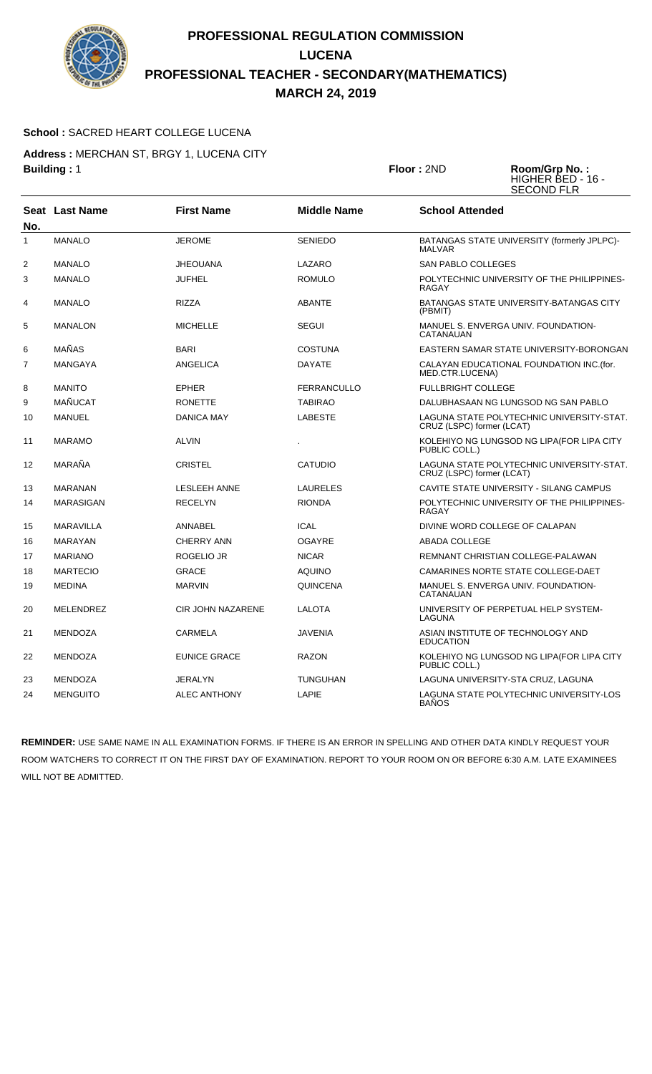

### **School :** SACRED HEART COLLEGE LUCENA

**Address :** MERCHAN ST, BRGY 1, LUCENA CITY **Building :** 1 **Floor :** 2ND **Room/Grp No. :**

HIGHER BED - 16 - SECOND FLR

| No.            | <b>Seat Last Name</b> | <b>First Name</b>        | <b>Middle Name</b> | <b>School Attended</b>                                                 |
|----------------|-----------------------|--------------------------|--------------------|------------------------------------------------------------------------|
| $\mathbf{1}$   | <b>MANALO</b>         | <b>JEROME</b>            | <b>SENIEDO</b>     | BATANGAS STATE UNIVERSITY (formerly JPLPC)-<br><b>MALVAR</b>           |
| $\overline{2}$ | <b>MANALO</b>         | <b>JHEOUANA</b>          | LAZARO             | SAN PABLO COLLEGES                                                     |
| 3              | <b>MANALO</b>         | JUFHEL                   | <b>ROMULO</b>      | POLYTECHNIC UNIVERSITY OF THE PHILIPPINES-<br><b>RAGAY</b>             |
| 4              | <b>MANALO</b>         | <b>RIZZA</b>             | <b>ABANTE</b>      | <b>BATANGAS STATE UNIVERSITY-BATANGAS CITY</b><br>(PBMIT)              |
| 5              | <b>MANALON</b>        | <b>MICHELLE</b>          | <b>SEGUI</b>       | MANUEL S. ENVERGA UNIV. FOUNDATION-<br>CATANAUAN                       |
| 6              | MAÑAS                 | <b>BARI</b>              | <b>COSTUNA</b>     | EASTERN SAMAR STATE UNIVERSITY-BORONGAN                                |
| $\overline{7}$ | MANGAYA               | ANGELICA                 | <b>DAYATE</b>      | CALAYAN EDUCATIONAL FOUNDATION INC. (for.<br>MED.CTR.LUCENA)           |
| 8              | <b>MANITO</b>         | <b>EPHER</b>             | FERRANCULLO        | <b>FULLBRIGHT COLLEGE</b>                                              |
| 9              | <b>MAÑUCAT</b>        | <b>RONETTE</b>           | <b>TABIRAO</b>     | DALUBHASAAN NG LUNGSOD NG SAN PABLO                                    |
| 10             | <b>MANUEL</b>         | <b>DANICA MAY</b>        | <b>LABESTE</b>     | LAGUNA STATE POLYTECHNIC UNIVERSITY-STAT.<br>CRUZ (LSPC) former (LCAT) |
| 11             | <b>MARAMO</b>         | <b>ALVIN</b>             |                    | KOLEHIYO NG LUNGSOD NG LIPA(FOR LIPA CITY<br>PUBLIC COLL.)             |
| 12             | MARAÑA                | <b>CRISTEL</b>           | <b>CATUDIO</b>     | LAGUNA STATE POLYTECHNIC UNIVERSITY-STAT.<br>CRUZ (LSPC) former (LCAT) |
| 13             | <b>MARANAN</b>        | <b>LESLEEH ANNE</b>      | <b>LAURELES</b>    | CAVITE STATE UNIVERSITY - SILANG CAMPUS                                |
| 14             | <b>MARASIGAN</b>      | <b>RECELYN</b>           | <b>RIONDA</b>      | POLYTECHNIC UNIVERSITY OF THE PHILIPPINES-<br><b>RAGAY</b>             |
| 15             | <b>MARAVILLA</b>      | ANNABEL                  | <b>ICAL</b>        | DIVINE WORD COLLEGE OF CALAPAN                                         |
| 16             | <b>MARAYAN</b>        | <b>CHERRY ANN</b>        | <b>OGAYRE</b>      | ABADA COLLEGE                                                          |
| 17             | <b>MARIANO</b>        | ROGELIO JR               | <b>NICAR</b>       | REMNANT CHRISTIAN COLLEGE-PALAWAN                                      |
| 18             | <b>MARTECIO</b>       | <b>GRACE</b>             | <b>AQUINO</b>      | CAMARINES NORTE STATE COLLEGE-DAET                                     |
| 19             | <b>MEDINA</b>         | <b>MARVIN</b>            | QUINCENA           | MANUEL S. ENVERGA UNIV. FOUNDATION-<br>CATANAUAN                       |
| 20             | <b>MELENDREZ</b>      | <b>CIR JOHN NAZARENE</b> | <b>LALOTA</b>      | UNIVERSITY OF PERPETUAL HELP SYSTEM-<br>LAGUNA                         |
| 21             | <b>MENDOZA</b>        | CARMELA                  | <b>JAVENIA</b>     | ASIAN INSTITUTE OF TECHNOLOGY AND<br><b>EDUCATION</b>                  |
| 22             | <b>MENDOZA</b>        | <b>EUNICE GRACE</b>      | <b>RAZON</b>       | KOLEHIYO NG LUNGSOD NG LIPA(FOR LIPA CITY<br>PUBLIC COLL.)             |
| 23             | <b>MENDOZA</b>        | JERALYN                  | <b>TUNGUHAN</b>    | LAGUNA UNIVERSITY-STA CRUZ, LAGUNA                                     |
| 24             | <b>MENGUITO</b>       | <b>ALEC ANTHONY</b>      | LAPIE              | LAGUNA STATE POLYTECHNIC UNIVERSITY-LOS<br><b>BANOS</b>                |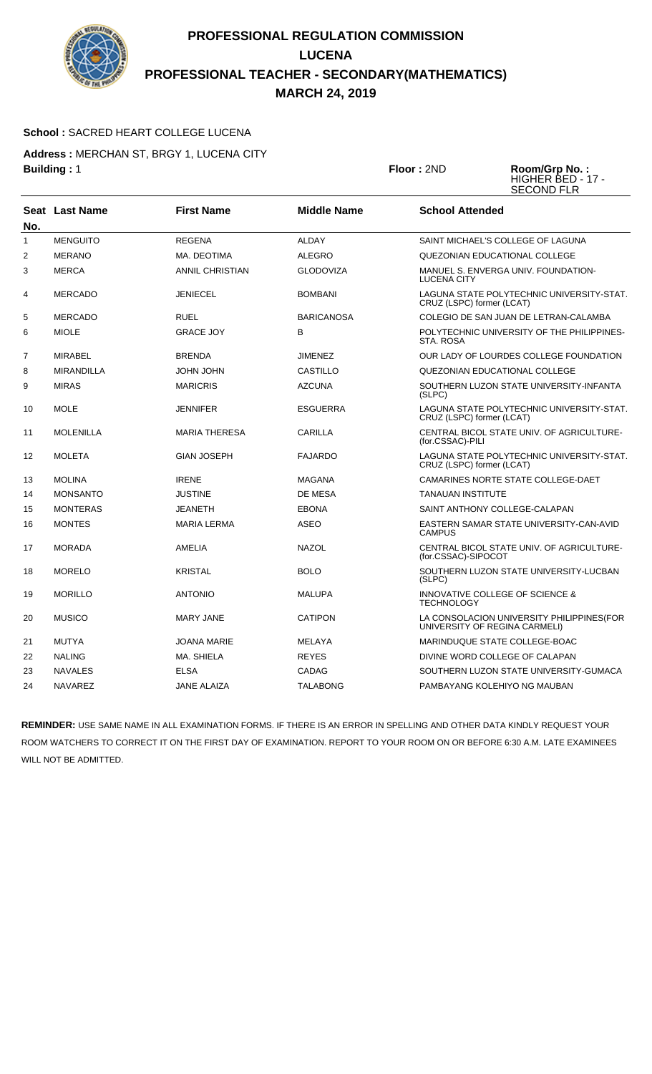

### **School :** SACRED HEART COLLEGE LUCENA

**Address :** MERCHAN ST, BRGY 1, LUCENA CITY **Building :** 1 **Floor :** 2ND **Room/Grp No. :**

HIGHER BED - 17 - SECOND FLR

| No.            | Seat Last Name    | <b>First Name</b>      | <b>Middle Name</b> | <b>School Attended</b>                                                     |
|----------------|-------------------|------------------------|--------------------|----------------------------------------------------------------------------|
| $\mathbf{1}$   | <b>MENGUITO</b>   | <b>REGENA</b>          | <b>ALDAY</b>       | SAINT MICHAEL'S COLLEGE OF LAGUNA                                          |
| $\overline{2}$ | <b>MERANO</b>     | MA. DEOTIMA            | <b>ALEGRO</b>      | QUEZONIAN EDUCATIONAL COLLEGE                                              |
| 3              | <b>MERCA</b>      | <b>ANNIL CHRISTIAN</b> | <b>GLODOVIZA</b>   | MANUEL S. ENVERGA UNIV. FOUNDATION-<br><b>LUCENA CITY</b>                  |
| 4              | <b>MERCADO</b>    | JENIECEL               | <b>BOMBANI</b>     | LAGUNA STATE POLYTECHNIC UNIVERSITY-STAT.<br>CRUZ (LSPC) former (LCAT)     |
| 5              | <b>MERCADO</b>    | <b>RUEL</b>            | <b>BARICANOSA</b>  | COLEGIO DE SAN JUAN DE LETRAN-CALAMBA                                      |
| 6              | <b>MIOLE</b>      | <b>GRACE JOY</b>       | B                  | POLYTECHNIC UNIVERSITY OF THE PHILIPPINES-<br>STA, ROSA                    |
| $\overline{7}$ | <b>MIRABEL</b>    | <b>BRENDA</b>          | <b>JIMENEZ</b>     | OUR LADY OF LOURDES COLLEGE FOUNDATION                                     |
| 8              | <b>MIRANDILLA</b> | JOHN JOHN              | CASTILLO           | QUEZONIAN EDUCATIONAL COLLEGE                                              |
| 9              | <b>MIRAS</b>      | <b>MARICRIS</b>        | <b>AZCUNA</b>      | SOUTHERN LUZON STATE UNIVERSITY-INFANTA<br>(SLPC)                          |
| 10             | <b>MOLE</b>       | <b>JENNIFER</b>        | <b>ESGUERRA</b>    | LAGUNA STATE POLYTECHNIC UNIVERSITY-STAT.<br>CRUZ (LSPC) former (LCAT)     |
| 11             | <b>MOLENILLA</b>  | <b>MARIA THERESA</b>   | CARILLA            | CENTRAL BICOL STATE UNIV. OF AGRICULTURE-<br>(for.CSSAC)-PILI              |
| 12             | <b>MOLETA</b>     | <b>GIAN JOSEPH</b>     | <b>FAJARDO</b>     | LAGUNA STATE POLYTECHNIC UNIVERSITY-STAT.<br>CRUZ (LSPC) former (LCAT)     |
| 13             | <b>MOLINA</b>     | <b>IRENE</b>           | <b>MAGANA</b>      | CAMARINES NORTE STATE COLLEGE-DAET                                         |
| 14             | <b>MONSANTO</b>   | <b>JUSTINE</b>         | DE MESA            | <b>TANAUAN INSTITUTE</b>                                                   |
| 15             | <b>MONTERAS</b>   | <b>JEANETH</b>         | <b>EBONA</b>       | SAINT ANTHONY COLLEGE-CALAPAN                                              |
| 16             | <b>MONTES</b>     | <b>MARIA LERMA</b>     | <b>ASEO</b>        | EASTERN SAMAR STATE UNIVERSITY-CAN-AVID<br><b>CAMPUS</b>                   |
| 17             | <b>MORADA</b>     | AMELIA                 | <b>NAZOL</b>       | CENTRAL BICOL STATE UNIV. OF AGRICULTURE-<br>(for.CSSAC)-SIPOCOT           |
| 18             | <b>MORELO</b>     | <b>KRISTAL</b>         | <b>BOLO</b>        | SOUTHERN LUZON STATE UNIVERSITY-LUCBAN<br>(SLPC)                           |
| 19             | <b>MORILLO</b>    | <b>ANTONIO</b>         | <b>MALUPA</b>      | INNOVATIVE COLLEGE OF SCIENCE &<br><b>TECHNOLOGY</b>                       |
| 20             | <b>MUSICO</b>     | <b>MARY JANE</b>       | <b>CATIPON</b>     | LA CONSOLACION UNIVERSITY PHILIPPINES(FOR<br>UNIVERSITY OF REGINA CARMELI) |
| 21             | <b>MUTYA</b>      | <b>JOANA MARIE</b>     | <b>MELAYA</b>      | MARINDUQUE STATE COLLEGE-BOAC                                              |
| 22             | <b>NALING</b>     | MA. SHIELA             | <b>REYES</b>       | DIVINE WORD COLLEGE OF CALAPAN                                             |
| 23             | <b>NAVALES</b>    | <b>ELSA</b>            | <b>CADAG</b>       | SOUTHERN LUZON STATE UNIVERSITY-GUMACA                                     |
| 24             | <b>NAVAREZ</b>    | <b>JANE ALAIZA</b>     | <b>TALABONG</b>    | PAMBAYANG KOLEHIYO NG MAUBAN                                               |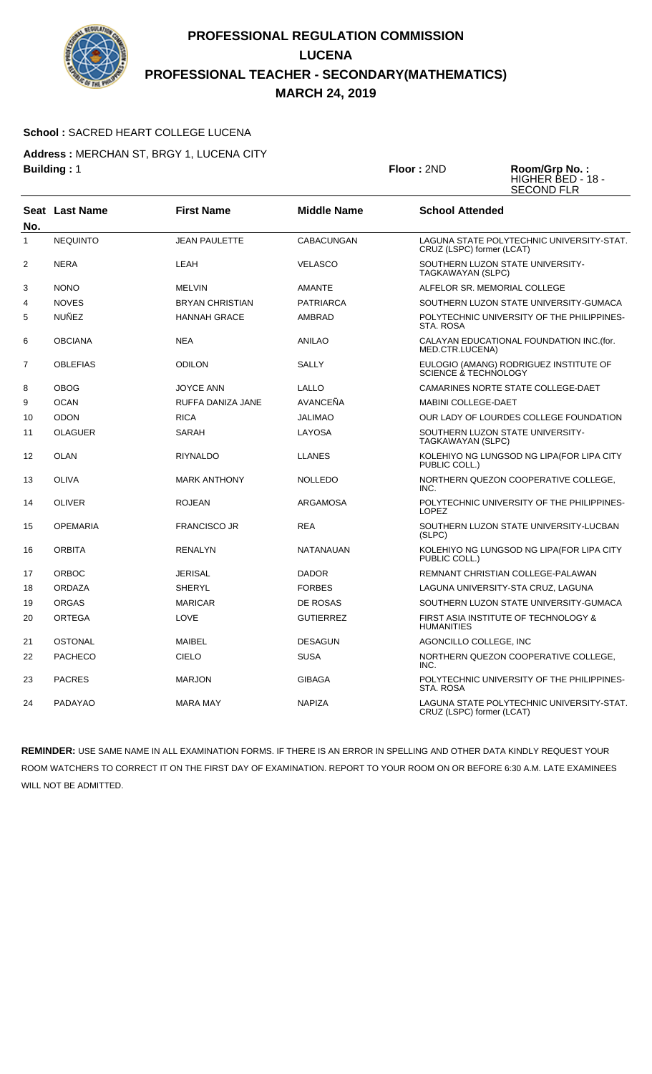

#### **School :** SACRED HEART COLLEGE LUCENA

**Address :** MERCHAN ST, BRGY 1, LUCENA CITY **Building :** 1 **Floor :** 2ND **Room/Grp No. :**

HIGHER BED - 18 - SECOND FLR

| No.            | <b>Seat</b> Last Name | <b>First Name</b>      | <b>Middle Name</b> | <b>School Attended</b>                                                 |
|----------------|-----------------------|------------------------|--------------------|------------------------------------------------------------------------|
| $\mathbf{1}$   | <b>NEQUINTO</b>       | <b>JEAN PAULETTE</b>   | <b>CABACUNGAN</b>  | LAGUNA STATE POLYTECHNIC UNIVERSITY-STAT.<br>CRUZ (LSPC) former (LCAT) |
| 2              | <b>NERA</b>           | LEAH                   | <b>VELASCO</b>     | SOUTHERN LUZON STATE UNIVERSITY-<br>TAGKAWAYAN (SLPC)                  |
| 3              | <b>NONO</b>           | <b>MELVIN</b>          | <b>AMANTE</b>      | ALFELOR SR. MEMORIAL COLLEGE                                           |
| 4              | <b>NOVES</b>          | <b>BRYAN CHRISTIAN</b> | <b>PATRIARCA</b>   | SOUTHERN LUZON STATE UNIVERSITY-GUMACA                                 |
| 5              | <b>NUÑEZ</b>          | <b>HANNAH GRACE</b>    | AMBRAD             | POLYTECHNIC UNIVERSITY OF THE PHILIPPINES-<br>STA. ROSA                |
| 6              | <b>OBCIANA</b>        | <b>NEA</b>             | <b>ANILAO</b>      | CALAYAN EDUCATIONAL FOUNDATION INC. (for.<br>MED.CTR.LUCENA)           |
| $\overline{7}$ | <b>OBLEFIAS</b>       | <b>ODILON</b>          | <b>SALLY</b>       | EULOGIO (AMANG) RODRIGUEZ INSTITUTE OF<br>SCIENCE & TECHNOLOGY         |
| 8              | <b>OBOG</b>           | <b>JOYCE ANN</b>       | <b>LALLO</b>       | CAMARINES NORTE STATE COLLEGE-DAET                                     |
| 9              | <b>OCAN</b>           | RUFFA DANIZA JANE      | AVANCEÑA           | <b>MABINI COLLEGE-DAET</b>                                             |
| 10             | <b>ODON</b>           | <b>RICA</b>            | <b>JALIMAO</b>     | OUR LADY OF LOURDES COLLEGE FOUNDATION                                 |
| 11             | <b>OLAGUER</b>        | <b>SARAH</b>           | LAYOSA             | SOUTHERN LUZON STATE UNIVERSITY-<br>TAGKAWAYAN (SLPC)                  |
| 12             | <b>OLAN</b>           | <b>RIYNALDO</b>        | <b>LLANES</b>      | KOLEHIYO NG LUNGSOD NG LIPA(FOR LIPA CITY<br>PUBLIC COLL.)             |
| 13             | <b>OLIVA</b>          | <b>MARK ANTHONY</b>    | <b>NOLLEDO</b>     | NORTHERN QUEZON COOPERATIVE COLLEGE,<br>INC.                           |
| 14             | <b>OLIVER</b>         | <b>ROJEAN</b>          | ARGAMOSA           | POLYTECHNIC UNIVERSITY OF THE PHILIPPINES-<br><b>LOPEZ</b>             |
| 15             | <b>OPEMARIA</b>       | <b>FRANCISCO JR</b>    | <b>REA</b>         | SOUTHERN LUZON STATE UNIVERSITY-LUCBAN<br>(SLPC)                       |
| 16             | <b>ORBITA</b>         | <b>RENALYN</b>         | NATANAUAN          | KOLEHIYO NG LUNGSOD NG LIPA(FOR LIPA CITY<br>PUBLIC COLL.)             |
| 17             | <b>ORBOC</b>          | <b>JERISAL</b>         | <b>DADOR</b>       | REMNANT CHRISTIAN COLLEGE-PALAWAN                                      |
| 18             | <b>ORDAZA</b>         | <b>SHERYL</b>          | <b>FORBES</b>      | LAGUNA UNIVERSITY-STA CRUZ, LAGUNA                                     |
| 19             | <b>ORGAS</b>          | <b>MARICAR</b>         | DE ROSAS           | SOUTHERN LUZON STATE UNIVERSITY-GUMACA                                 |
| 20             | <b>ORTEGA</b>         | LOVE                   | <b>GUTIERREZ</b>   | FIRST ASIA INSTITUTE OF TECHNOLOGY &<br><b>HUMANITIES</b>              |
| 21             | <b>OSTONAL</b>        | <b>MAIBEL</b>          | <b>DESAGUN</b>     | AGONCILLO COLLEGE, INC                                                 |
| 22             | <b>PACHECO</b>        | <b>CIELO</b>           | <b>SUSA</b>        | NORTHERN QUEZON COOPERATIVE COLLEGE,<br>INC.                           |
| 23             | <b>PACRES</b>         | <b>MARJON</b>          | <b>GIBAGA</b>      | POLYTECHNIC UNIVERSITY OF THE PHILIPPINES-<br>STA. ROSA                |
| 24             | <b>PADAYAO</b>        | <b>MARA MAY</b>        | <b>NAPIZA</b>      | LAGUNA STATE POLYTECHNIC UNIVERSITY-STAT.<br>CRUZ (LSPC) former (LCAT) |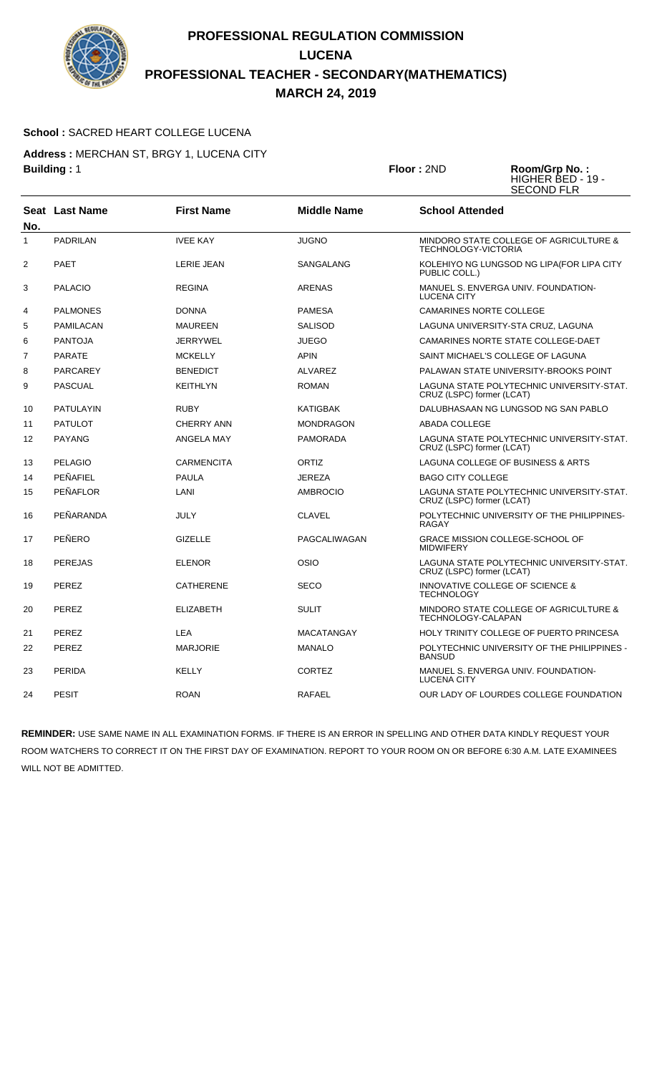

### **School :** SACRED HEART COLLEGE LUCENA

**Address :** MERCHAN ST, BRGY 1, LUCENA CITY **Building :** 1 **Floor :** 2ND **Room/Grp No. :**

| Floor: 2ND | Room/Grp No.:     |
|------------|-------------------|
|            | HIGHER BED - 19 - |
|            | <b>SECOND FLR</b> |

| No.            | <b>Seat Last Name</b> | <b>First Name</b> | <b>Middle Name</b> | <b>School Attended</b>                                                 |
|----------------|-----------------------|-------------------|--------------------|------------------------------------------------------------------------|
| $\mathbf{1}$   | <b>PADRILAN</b>       | <b>IVEE KAY</b>   | <b>JUGNO</b>       | MINDORO STATE COLLEGE OF AGRICULTURE &<br><b>TECHNOLOGY-VICTORIA</b>   |
| 2              | <b>PAET</b>           | <b>LERIE JEAN</b> | SANGALANG          | KOLEHIYO NG LUNGSOD NG LIPA(FOR LIPA CITY<br>PUBLIC COLL.)             |
| 3              | <b>PALACIO</b>        | <b>REGINA</b>     | <b>ARENAS</b>      | MANUEL S. ENVERGA UNIV. FOUNDATION-<br><b>LUCENA CITY</b>              |
| 4              | <b>PALMONES</b>       | <b>DONNA</b>      | <b>PAMESA</b>      | <b>CAMARINES NORTE COLLEGE</b>                                         |
| 5              | PAMILACAN             | <b>MAUREEN</b>    | <b>SALISOD</b>     | LAGUNA UNIVERSITY-STA CRUZ, LAGUNA                                     |
| 6              | <b>PANTOJA</b>        | <b>JERRYWEL</b>   | <b>JUEGO</b>       | CAMARINES NORTE STATE COLLEGE-DAET                                     |
| $\overline{7}$ | <b>PARATE</b>         | <b>MCKELLY</b>    | <b>APIN</b>        | SAINT MICHAEL'S COLLEGE OF LAGUNA                                      |
| 8              | PARCAREY              | <b>BENEDICT</b>   | <b>ALVAREZ</b>     | PALAWAN STATE UNIVERSITY-BROOKS POINT                                  |
| 9              | <b>PASCUAL</b>        | <b>KEITHLYN</b>   | <b>ROMAN</b>       | LAGUNA STATE POLYTECHNIC UNIVERSITY-STAT.<br>CRUZ (LSPC) former (LCAT) |
| 10             | <b>PATULAYIN</b>      | <b>RUBY</b>       | <b>KATIGBAK</b>    | DALUBHASAAN NG LUNGSOD NG SAN PABLO                                    |
| 11             | <b>PATULOT</b>        | <b>CHERRY ANN</b> | <b>MONDRAGON</b>   | <b>ABADA COLLEGE</b>                                                   |
| 12             | <b>PAYANG</b>         | ANGELA MAY        | <b>PAMORADA</b>    | LAGUNA STATE POLYTECHNIC UNIVERSITY-STAT.<br>CRUZ (LSPC) former (LCAT) |
| 13             | PELAGIO               | <b>CARMENCITA</b> | ORTIZ              | <b>LAGUNA COLLEGE OF BUSINESS &amp; ARTS</b>                           |
| 14             | PEÑAFIEL              | <b>PAULA</b>      | <b>JEREZA</b>      | <b>BAGO CITY COLLEGE</b>                                               |
| 15             | PEÑAFLOR              | LANI              | <b>AMBROCIO</b>    | LAGUNA STATE POLYTECHNIC UNIVERSITY-STAT.<br>CRUZ (LSPC) former (LCAT) |
| 16             | PEÑARANDA             | <b>JULY</b>       | <b>CLAVEL</b>      | POLYTECHNIC UNIVERSITY OF THE PHILIPPINES-<br><b>RAGAY</b>             |
| 17             | PEÑERO                | <b>GIZELLE</b>    | PAGCALIWAGAN       | GRACE MISSION COLLEGE-SCHOOL OF<br><b>MIDWIFERY</b>                    |
| 18             | <b>PEREJAS</b>        | <b>ELENOR</b>     | <b>OSIO</b>        | LAGUNA STATE POLYTECHNIC UNIVERSITY-STAT.<br>CRUZ (LSPC) former (LCAT) |
| 19             | PEREZ                 | <b>CATHERENE</b>  | <b>SECO</b>        | INNOVATIVE COLLEGE OF SCIENCE &<br><b>TECHNOLOGY</b>                   |
| 20             | PEREZ                 | <b>ELIZABETH</b>  | <b>SULIT</b>       | MINDORO STATE COLLEGE OF AGRICULTURE &<br>TECHNOLOGY-CALAPAN           |
| 21             | PEREZ                 | <b>LEA</b>        | <b>MACATANGAY</b>  | HOLY TRINITY COLLEGE OF PUERTO PRINCESA                                |
| 22             | PEREZ                 | <b>MARJORIE</b>   | <b>MANALO</b>      | POLYTECHNIC UNIVERSITY OF THE PHILIPPINES -<br><b>BANSUD</b>           |
| 23             | <b>PERIDA</b>         | <b>KELLY</b>      | <b>CORTEZ</b>      | MANUEL S. ENVERGA UNIV. FOUNDATION-<br><b>LUCENA CITY</b>              |
| 24             | <b>PESIT</b>          | <b>ROAN</b>       | <b>RAFAEL</b>      | OUR LADY OF LOURDES COLLEGE FOUNDATION                                 |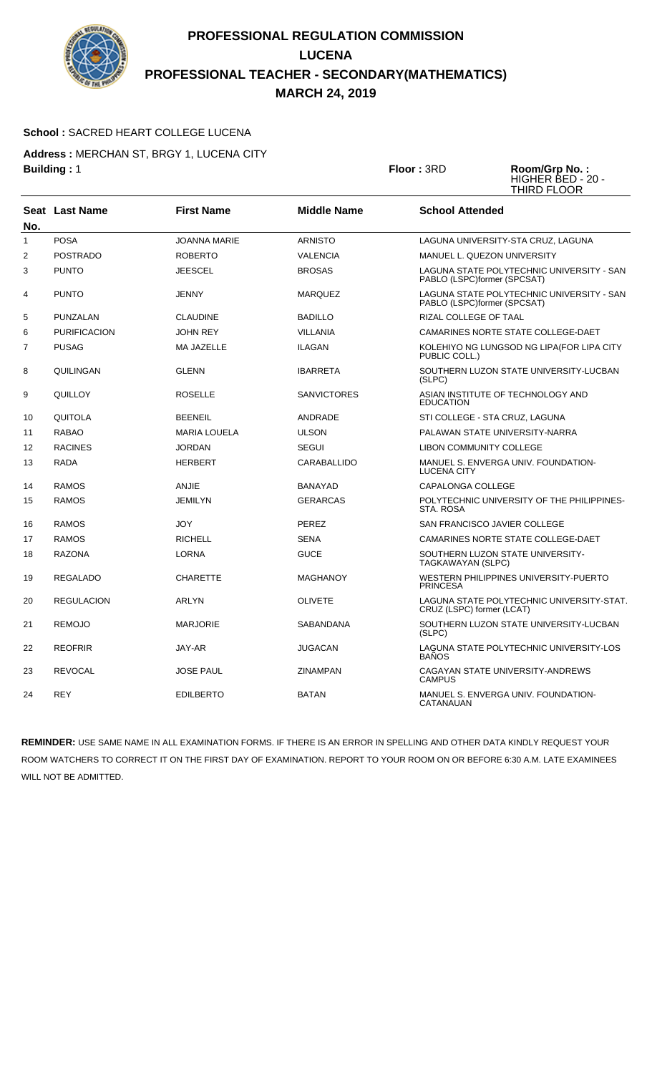

### **School :** SACRED HEART COLLEGE LUCENA

**Address :** MERCHAN ST, BRGY 1, LUCENA CITY **Building :** 1 **Floor :** 3RD **Room/Grp No. :**

HIGHER BED - 20 - THIRD FLOOR

|                | Seat Last Name      | <b>First Name</b>   | <b>Middle Name</b> | <b>School Attended</b>                                                   |
|----------------|---------------------|---------------------|--------------------|--------------------------------------------------------------------------|
| No.            |                     |                     |                    |                                                                          |
| 1              | <b>POSA</b>         | <b>JOANNA MARIE</b> | <b>ARNISTO</b>     | LAGUNA UNIVERSITY-STA CRUZ, LAGUNA                                       |
| $\overline{2}$ | <b>POSTRADO</b>     | <b>ROBERTO</b>      | <b>VALENCIA</b>    | MANUEL L. QUEZON UNIVERSITY                                              |
| 3              | <b>PUNTO</b>        | <b>JEESCEL</b>      | <b>BROSAS</b>      | LAGUNA STATE POLYTECHNIC UNIVERSITY - SAN<br>PABLO (LSPC)former (SPCSAT) |
| 4              | <b>PUNTO</b>        | <b>JENNY</b>        | <b>MARQUEZ</b>     | LAGUNA STATE POLYTECHNIC UNIVERSITY - SAN<br>PABLO (LSPC)former (SPCSAT) |
| 5              | PUNZALAN            | <b>CLAUDINE</b>     | <b>BADILLO</b>     | RIZAL COLLEGE OF TAAL                                                    |
| 6              | <b>PURIFICACION</b> | <b>JOHN REY</b>     | <b>VILLANIA</b>    | CAMARINES NORTE STATE COLLEGE-DAET                                       |
| 7              | <b>PUSAG</b>        | <b>MA JAZELLE</b>   | <b>ILAGAN</b>      | KOLEHIYO NG LUNGSOD NG LIPA(FOR LIPA CITY<br>PUBLIC COLL.)               |
| 8              | QUILINGAN           | <b>GLENN</b>        | <b>IBARRETA</b>    | SOUTHERN LUZON STATE UNIVERSITY-LUCBAN<br>(SLPC)                         |
| 9              | QUILLOY             | <b>ROSELLE</b>      | <b>SANVICTORES</b> | ASIAN INSTITUTE OF TECHNOLOGY AND<br><b>EDUCATION</b>                    |
| 10             | QUITOLA             | <b>BEENEIL</b>      | ANDRADE            | STI COLLEGE - STA CRUZ, LAGUNA                                           |
| 11             | <b>RABAO</b>        | <b>MARIA LOUELA</b> | <b>ULSON</b>       | PALAWAN STATE UNIVERSITY-NARRA                                           |
| 12             | <b>RACINES</b>      | <b>JORDAN</b>       | <b>SEGUI</b>       | <b>LIBON COMMUNITY COLLEGE</b>                                           |
| 13             | <b>RADA</b>         | <b>HERBERT</b>      | <b>CARABALLIDO</b> | MANUEL S. ENVERGA UNIV. FOUNDATION-<br><b>LUCENA CITY</b>                |
| 14             | <b>RAMOS</b>        | <b>ANJIE</b>        | <b>BANAYAD</b>     | CAPALONGA COLLEGE                                                        |
| 15             | <b>RAMOS</b>        | <b>JEMILYN</b>      | <b>GERARCAS</b>    | POLYTECHNIC UNIVERSITY OF THE PHILIPPINES-<br>STA, ROSA                  |
| 16             | <b>RAMOS</b>        | <b>JOY</b>          | <b>PEREZ</b>       | SAN FRANCISCO JAVIER COLLEGE                                             |
| 17             | <b>RAMOS</b>        | <b>RICHELL</b>      | <b>SENA</b>        | CAMARINES NORTE STATE COLLEGE-DAET                                       |
| 18             | <b>RAZONA</b>       | <b>LORNA</b>        | <b>GUCE</b>        | SOUTHERN LUZON STATE UNIVERSITY-<br>TAGKAWAYAN (SLPC)                    |
| 19             | <b>REGALADO</b>     | <b>CHARETTE</b>     | <b>MAGHANOY</b>    | WESTERN PHILIPPINES UNIVERSITY-PUERTO<br><b>PRINCESA</b>                 |
| 20             | <b>REGULACION</b>   | ARLYN               | <b>OLIVETE</b>     | LAGUNA STATE POLYTECHNIC UNIVERSITY-STAT.<br>CRUZ (LSPC) former (LCAT)   |
| 21             | <b>REMOJO</b>       | <b>MARJORIE</b>     | SABANDANA          | SOUTHERN LUZON STATE UNIVERSITY-LUCBAN<br>(SLPC)                         |
| 22             | <b>REOFRIR</b>      | JAY-AR              | <b>JUGACAN</b>     | LAGUNA STATE POLYTECHNIC UNIVERSITY-LOS<br><b>BAÑOS</b>                  |
| 23             | <b>REVOCAL</b>      | <b>JOSE PAUL</b>    | ZINAMPAN           | CAGAYAN STATE UNIVERSITY-ANDREWS<br><b>CAMPUS</b>                        |
| 24             | <b>REY</b>          | <b>EDILBERTO</b>    | <b>BATAN</b>       | MANUEL S. ENVERGA UNIV. FOUNDATION-<br>CATANAUAN                         |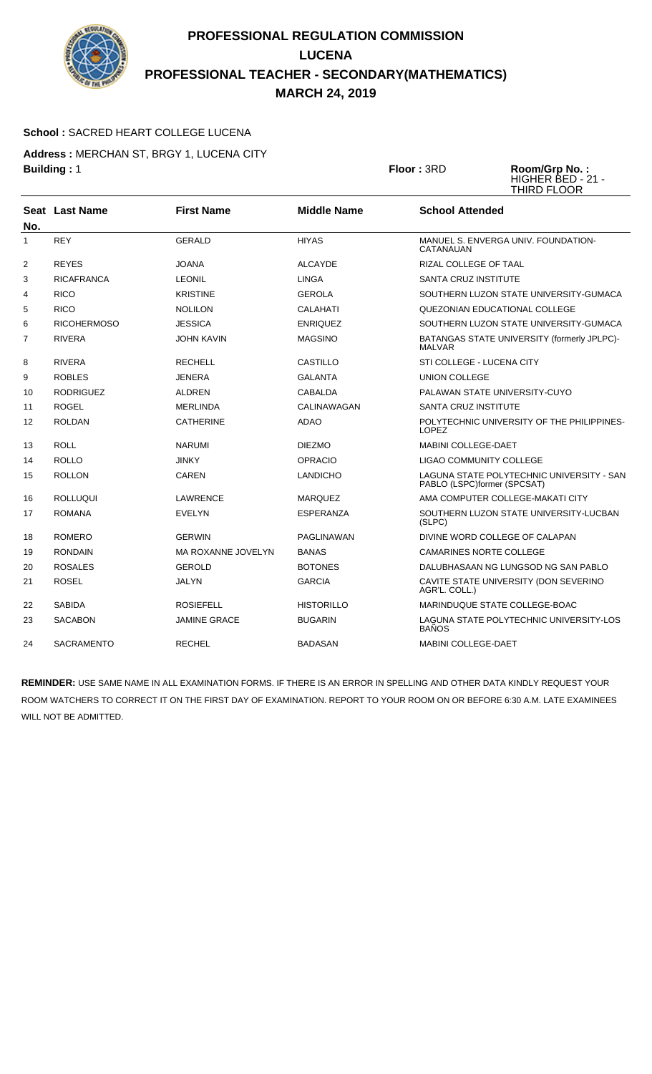

### **School :** SACRED HEART COLLEGE LUCENA

**Address :** MERCHAN ST, BRGY 1, LUCENA CITY **Building :** 1 **Floor :** 3RD **Room/Grp No. :**

| Floor: 3RD | R |
|------------|---|
|            | н |

HIGHER BED - 21 - HIGHER DED<br>THIRD FLOOR

| No.            | Seat Last Name     | <b>First Name</b>   | <b>Middle Name</b> | <b>School Attended</b>                                                   |
|----------------|--------------------|---------------------|--------------------|--------------------------------------------------------------------------|
| 1              | <b>REY</b>         | <b>GERALD</b>       | <b>HIYAS</b>       | MANUEL S. ENVERGA UNIV. FOUNDATION-<br><b>CATANAUAN</b>                  |
| $\overline{2}$ | <b>REYES</b>       | <b>JOANA</b>        | <b>ALCAYDE</b>     | RIZAL COLLEGE OF TAAL                                                    |
| 3              | <b>RICAFRANCA</b>  | <b>LEONIL</b>       | LINGA              | SANTA CRUZ INSTITUTE                                                     |
| 4              | <b>RICO</b>        | <b>KRISTINE</b>     | <b>GEROLA</b>      | SOUTHERN LUZON STATE UNIVERSITY-GUMACA                                   |
| 5              | <b>RICO</b>        | <b>NOLILON</b>      | <b>CALAHATI</b>    | QUEZONIAN EDUCATIONAL COLLEGE                                            |
| 6              | <b>RICOHERMOSO</b> | <b>JESSICA</b>      | <b>ENRIQUEZ</b>    | SOUTHERN LUZON STATE UNIVERSITY-GUMACA                                   |
| $\overline{7}$ | <b>RIVERA</b>      | JOHN KAVIN          | <b>MAGSINO</b>     | BATANGAS STATE UNIVERSITY (formerly JPLPC)-<br><b>MALVAR</b>             |
| 8              | <b>RIVERA</b>      | <b>RECHELL</b>      | <b>CASTILLO</b>    | STI COLLEGE - LUCENA CITY                                                |
| 9              | <b>ROBLES</b>      | <b>JENERA</b>       | <b>GALANTA</b>     | UNION COLLEGE                                                            |
| 10             | <b>RODRIGUEZ</b>   | <b>ALDREN</b>       | <b>CABALDA</b>     | PALAWAN STATE UNIVERSITY-CUYO                                            |
| 11             | <b>ROGEL</b>       | <b>MERLINDA</b>     | CALINAWAGAN        | <b>SANTA CRUZ INSTITUTE</b>                                              |
| 12             | <b>ROLDAN</b>      | <b>CATHERINE</b>    | <b>ADAO</b>        | POLYTECHNIC UNIVERSITY OF THE PHILIPPINES-<br><b>LOPEZ</b>               |
| 13             | <b>ROLL</b>        | <b>NARUMI</b>       | <b>DIEZMO</b>      | <b>MABINI COLLEGE-DAET</b>                                               |
| 14             | <b>ROLLO</b>       | <b>JINKY</b>        | <b>OPRACIO</b>     | LIGAO COMMUNITY COLLEGE                                                  |
| 15             | <b>ROLLON</b>      | <b>CAREN</b>        | <b>LANDICHO</b>    | LAGUNA STATE POLYTECHNIC UNIVERSITY - SAN<br>PABLO (LSPC)former (SPCSAT) |
| 16             | <b>ROLLUQUI</b>    | LAWRENCE            | <b>MARQUEZ</b>     | AMA COMPUTER COLLEGE-MAKATI CITY                                         |
| 17             | <b>ROMANA</b>      | <b>EVELYN</b>       | <b>ESPERANZA</b>   | SOUTHERN LUZON STATE UNIVERSITY-LUCBAN<br>(SLPC)                         |
| 18             | <b>ROMERO</b>      | <b>GERWIN</b>       | <b>PAGLINAWAN</b>  | DIVINE WORD COLLEGE OF CALAPAN                                           |
| 19             | <b>RONDAIN</b>     | MA ROXANNE JOVELYN  | <b>BANAS</b>       | <b>CAMARINES NORTE COLLEGE</b>                                           |
| 20             | <b>ROSALES</b>     | <b>GEROLD</b>       | <b>BOTONES</b>     | DALUBHASAAN NG LUNGSOD NG SAN PABLO                                      |
| 21             | <b>ROSEL</b>       | <b>JALYN</b>        | <b>GARCIA</b>      | CAVITE STATE UNIVERSITY (DON SEVERINO<br>AGR'L. COLL.)                   |
| 22             | <b>SABIDA</b>      | <b>ROSIEFELL</b>    | <b>HISTORILLO</b>  | MARINDUQUE STATE COLLEGE-BOAC                                            |
| 23             | <b>SACABON</b>     | <b>JAMINE GRACE</b> | <b>BUGARIN</b>     | LAGUNA STATE POLYTECHNIC UNIVERSITY-LOS<br><b>BANOS</b>                  |
| 24             | <b>SACRAMENTO</b>  | <b>RECHEL</b>       | <b>BADASAN</b>     | <b>MABINI COLLEGE-DAET</b>                                               |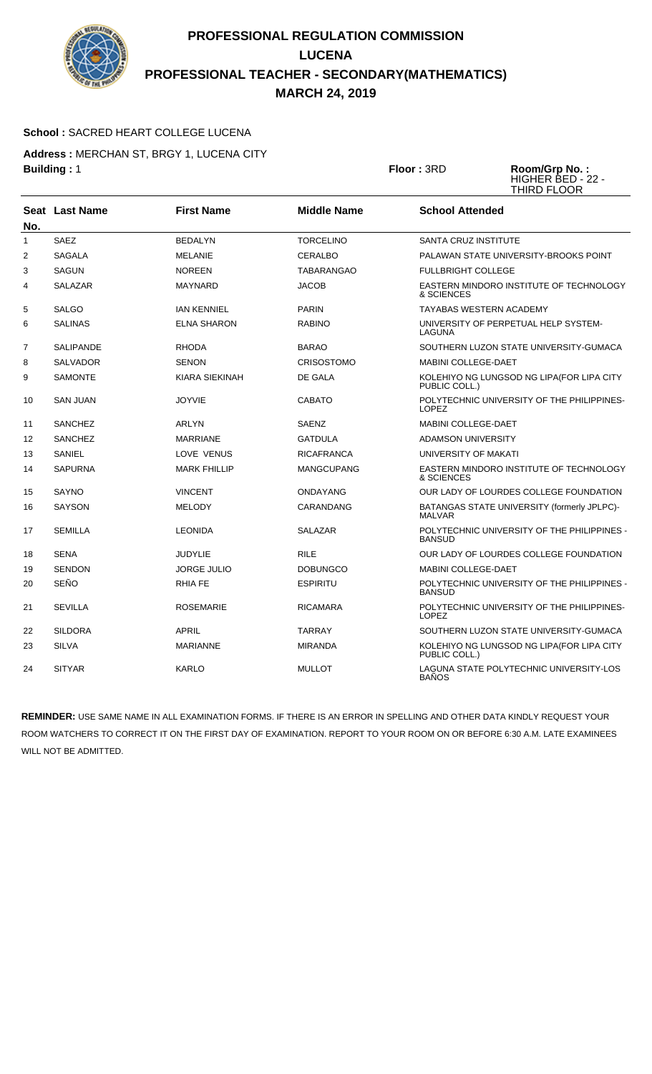

### **School :** SACRED HEART COLLEGE LUCENA

**Address :** MERCHAN ST, BRGY 1, LUCENA CITY **Building :** 1 **Floor :** 3RD **Room/Grp No. :**

HIGHER BED - 22 - THIRD FLOOR

| No.            | Seat Last Name   | <b>First Name</b>   | <b>Middle Name</b> | <b>School Attended</b>                                       |
|----------------|------------------|---------------------|--------------------|--------------------------------------------------------------|
| $\mathbf{1}$   | <b>SAEZ</b>      | <b>BEDALYN</b>      | <b>TORCELINO</b>   | <b>SANTA CRUZ INSTITUTE</b>                                  |
| $\overline{2}$ | <b>SAGALA</b>    | <b>MELANIE</b>      | <b>CERALBO</b>     | PALAWAN STATE UNIVERSITY-BROOKS POINT                        |
| 3              | <b>SAGUN</b>     | <b>NOREEN</b>       | <b>TABARANGAO</b>  | <b>FULLBRIGHT COLLEGE</b>                                    |
| 4              | <b>SALAZAR</b>   | <b>MAYNARD</b>      | <b>JACOB</b>       | EASTERN MINDORO INSTITUTE OF TECHNOLOGY<br>& SCIENCES        |
| 5              | <b>SALGO</b>     | <b>IAN KENNIEL</b>  | <b>PARIN</b>       | <b>TAYABAS WESTERN ACADEMY</b>                               |
| 6              | <b>SALINAS</b>   | <b>ELNA SHARON</b>  | <b>RABINO</b>      | UNIVERSITY OF PERPETUAL HELP SYSTEM-<br>LAGUNA               |
| $\overline{7}$ | <b>SALIPANDE</b> | <b>RHODA</b>        | <b>BARAO</b>       | SOUTHERN LUZON STATE UNIVERSITY-GUMACA                       |
| 8              | <b>SALVADOR</b>  | <b>SENON</b>        | CRISOSTOMO         | <b>MABINI COLLEGE-DAET</b>                                   |
| 9              | <b>SAMONTE</b>   | KIARA SIEKINAH      | DE GALA            | KOLEHIYO NG LUNGSOD NG LIPA (FOR LIPA CITY<br>PUBLIC COLL.)  |
| 10             | <b>SAN JUAN</b>  | <b>JOYVIE</b>       | CABATO             | POLYTECHNIC UNIVERSITY OF THE PHILIPPINES-<br><b>LOPEZ</b>   |
| 11             | <b>SANCHEZ</b>   | <b>ARLYN</b>        | <b>SAENZ</b>       | MABINI COLLEGE-DAET                                          |
| 12             | <b>SANCHEZ</b>   | <b>MARRIANE</b>     | <b>GATDULA</b>     | <b>ADAMSON UNIVERSITY</b>                                    |
| 13             | SANIEL           | LOVE VENUS          | <b>RICAFRANCA</b>  | UNIVERSITY OF MAKATI                                         |
| 14             | <b>SAPURNA</b>   | <b>MARK FHILLIP</b> | <b>MANGCUPANG</b>  | EASTERN MINDORO INSTITUTE OF TECHNOLOGY<br>& SCIENCES        |
| 15             | SAYNO            | <b>VINCENT</b>      | ONDAYANG           | OUR LADY OF LOURDES COLLEGE FOUNDATION                       |
| 16             | <b>SAYSON</b>    | <b>MELODY</b>       | CARANDANG          | BATANGAS STATE UNIVERSITY (formerly JPLPC)-<br><b>MALVAR</b> |
| 17             | <b>SEMILLA</b>   | <b>LEONIDA</b>      | <b>SALAZAR</b>     | POLYTECHNIC UNIVERSITY OF THE PHILIPPINES -<br><b>BANSUD</b> |
| 18             | <b>SENA</b>      | <b>JUDYLIE</b>      | <b>RILE</b>        | OUR LADY OF LOURDES COLLEGE FOUNDATION                       |
| 19             | <b>SENDON</b>    | <b>JORGE JULIO</b>  | <b>DOBUNGCO</b>    | <b>MABINI COLLEGE-DAET</b>                                   |
| 20             | SEÑO             | <b>RHIA FE</b>      | <b>ESPIRITU</b>    | POLYTECHNIC UNIVERSITY OF THE PHILIPPINES -<br><b>BANSUD</b> |
| 21             | <b>SEVILLA</b>   | <b>ROSEMARIE</b>    | <b>RICAMARA</b>    | POLYTECHNIC UNIVERSITY OF THE PHILIPPINES-<br><b>LOPEZ</b>   |
| 22             | <b>SILDORA</b>   | APRIL               | <b>TARRAY</b>      | SOUTHERN LUZON STATE UNIVERSITY-GUMACA                       |
| 23             | <b>SILVA</b>     | <b>MARIANNE</b>     | <b>MIRANDA</b>     | KOLEHIYO NG LUNGSOD NG LIPA (FOR LIPA CITY<br>PUBLIC COLL.)  |
| 24             | <b>SITYAR</b>    | <b>KARLO</b>        | <b>MULLOT</b>      | LAGUNA STATE POLYTECHNIC UNIVERSITY-LOS<br><b>BANOS</b>      |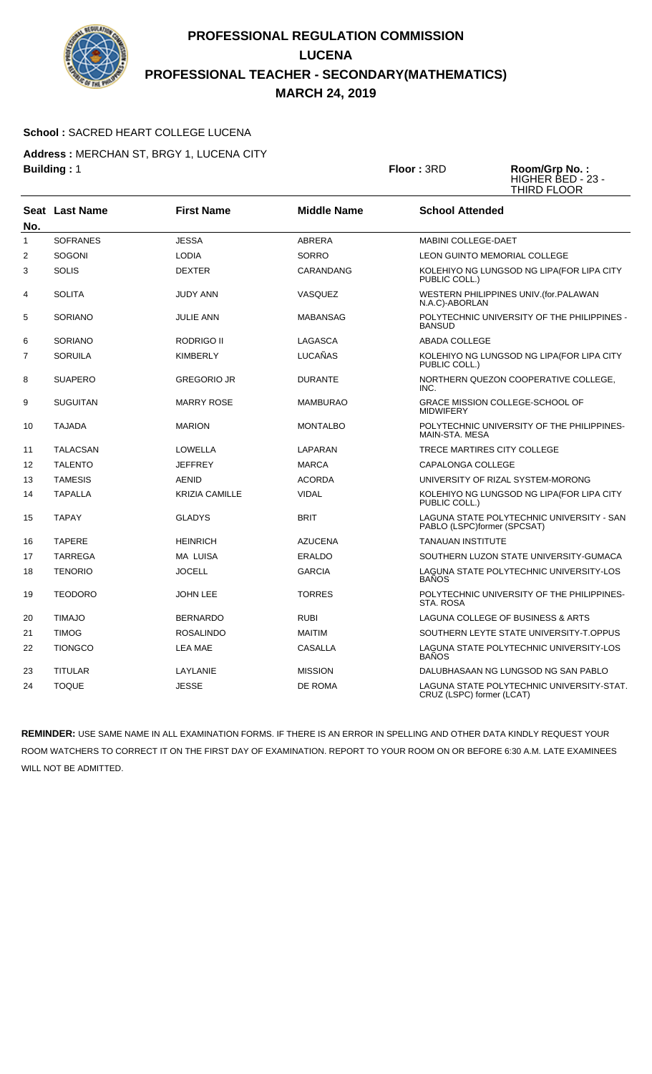

### **School :** SACRED HEART COLLEGE LUCENA

**Address :** MERCHAN ST, BRGY 1, LUCENA CITY **Building :** 1 **Floor :** 3RD **Room/Grp No. :**

HIGHER BED - 23 - THIRD FLOOR

|              | <b>Seat Last Name</b> | <b>First Name</b>     | <b>Middle Name</b> | <b>School Attended</b>                                                   |
|--------------|-----------------------|-----------------------|--------------------|--------------------------------------------------------------------------|
| No.          |                       |                       |                    |                                                                          |
| $\mathbf{1}$ | <b>SOFRANES</b>       | <b>JESSA</b>          | <b>ABRERA</b>      | <b>MABINI COLLEGE-DAET</b>                                               |
| 2            | <b>SOGONI</b>         | <b>LODIA</b>          | <b>SORRO</b>       | <b>LEON GUINTO MEMORIAL COLLEGE</b>                                      |
| 3            | <b>SOLIS</b>          | <b>DEXTER</b>         | CARANDANG          | KOLEHIYO NG LUNGSOD NG LIPA(FOR LIPA CITY<br>PUBLIC COLL.)               |
| 4            | <b>SOLITA</b>         | JUDY ANN              | <b>VASQUEZ</b>     | WESTERN PHILIPPINES UNIV. (for. PALAWAN<br>N.A.C)-ABORLAN                |
| 5            | <b>SORIANO</b>        | JULIE ANN             | <b>MABANSAG</b>    | POLYTECHNIC UNIVERSITY OF THE PHILIPPINES -<br><b>BANSUD</b>             |
| 6            | <b>SORIANO</b>        | RODRIGO II            | LAGASCA            | ABADA COLLEGE                                                            |
| 7            | <b>SORUILA</b>        | <b>KIMBERLY</b>       | <b>LUCAÑAS</b>     | KOLEHIYO NG LUNGSOD NG LIPA(FOR LIPA CITY<br>PUBLIC COLL.)               |
| 8            | <b>SUAPERO</b>        | <b>GREGORIO JR</b>    | <b>DURANTE</b>     | NORTHERN QUEZON COOPERATIVE COLLEGE,<br>INC.                             |
| 9            | <b>SUGUITAN</b>       | <b>MARRY ROSE</b>     | <b>MAMBURAO</b>    | <b>GRACE MISSION COLLEGE-SCHOOL OF</b><br><b>MIDWIFERY</b>               |
| 10           | <b>TAJADA</b>         | <b>MARION</b>         | <b>MONTALBO</b>    | POLYTECHNIC UNIVERSITY OF THE PHILIPPINES-<br>MAIN-STA. MESA             |
| 11           | <b>TALACSAN</b>       | <b>LOWELLA</b>        | LAPARAN            | TRECE MARTIRES CITY COLLEGE                                              |
| 12           | <b>TALENTO</b>        | <b>JEFFREY</b>        | <b>MARCA</b>       | CAPALONGA COLLEGE                                                        |
| 13           | <b>TAMESIS</b>        | <b>AENID</b>          | <b>ACORDA</b>      | UNIVERSITY OF RIZAL SYSTEM-MORONG                                        |
| 14           | <b>TAPALLA</b>        | <b>KRIZIA CAMILLE</b> | <b>VIDAL</b>       | KOLEHIYO NG LUNGSOD NG LIPA(FOR LIPA CITY<br>PUBLIC COLL.)               |
| 15           | <b>TAPAY</b>          | <b>GLADYS</b>         | <b>BRIT</b>        | LAGUNA STATE POLYTECHNIC UNIVERSITY - SAN<br>PABLO (LSPC)former (SPCSAT) |
| 16           | <b>TAPERE</b>         | <b>HEINRICH</b>       | <b>AZUCENA</b>     | <b>TANAUAN INSTITUTE</b>                                                 |
| 17           | <b>TARREGA</b>        | <b>MA LUISA</b>       | <b>ERALDO</b>      | SOUTHERN LUZON STATE UNIVERSITY-GUMACA                                   |
| 18           | <b>TENORIO</b>        | <b>JOCELL</b>         | <b>GARCIA</b>      | LAGUNA STATE POLYTECHNIC UNIVERSITY-LOS<br><b>BAÑOS</b>                  |
| 19           | <b>TEODORO</b>        | JOHN LEE              | <b>TORRES</b>      | POLYTECHNIC UNIVERSITY OF THE PHILIPPINES-<br>STA, ROSA                  |
| 20           | <b>TIMAJO</b>         | <b>BERNARDO</b>       | <b>RUBI</b>        | LAGUNA COLLEGE OF BUSINESS & ARTS                                        |
| 21           | <b>TIMOG</b>          | <b>ROSALINDO</b>      | <b>MAITIM</b>      | SOUTHERN LEYTE STATE UNIVERSITY-T.OPPUS                                  |
| 22           | <b>TIONGCO</b>        | <b>LEA MAE</b>        | <b>CASALLA</b>     | LAGUNA STATE POLYTECHNIC UNIVERSITY-LOS<br><b>BAÑOS</b>                  |
| 23           | <b>TITULAR</b>        | LAYLANIE              | <b>MISSION</b>     | DALUBHASAAN NG LUNGSOD NG SAN PABLO                                      |
| 24           | <b>TOQUE</b>          | <b>JESSE</b>          | DE ROMA            | LAGUNA STATE POLYTECHNIC UNIVERSITY-STAT.<br>CRUZ (LSPC) former (LCAT)   |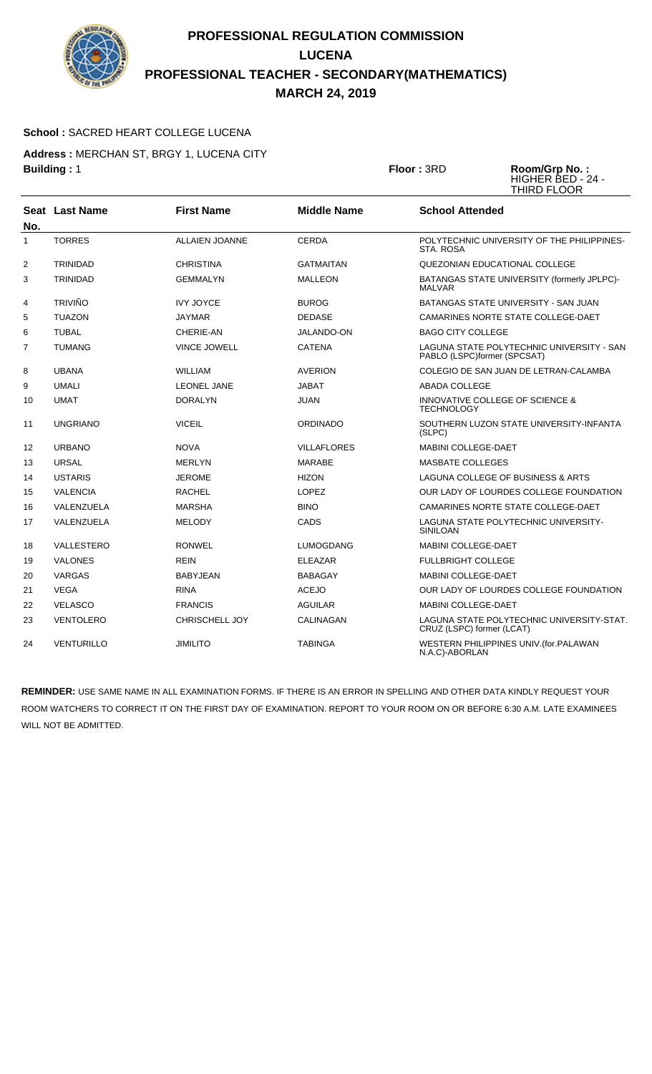

### **School :** SACRED HEART COLLEGE LUCENA

**Address :** MERCHAN ST, BRGY 1, LUCENA CITY **Building :** 1 **Floor :** 3RD **Room/Grp No. :**

HIGHER BED - 24 - THIRD FLOOR

|                | Seat Last Name    | <b>First Name</b>     | <b>Middle Name</b> | <b>School Attended</b>                                                   |
|----------------|-------------------|-----------------------|--------------------|--------------------------------------------------------------------------|
| No.            |                   |                       |                    |                                                                          |
| $\mathbf{1}$   | <b>TORRES</b>     | <b>ALLAIEN JOANNE</b> | <b>CERDA</b>       | POLYTECHNIC UNIVERSITY OF THE PHILIPPINES-<br>STA, ROSA                  |
| $\overline{2}$ | <b>TRINIDAD</b>   | <b>CHRISTINA</b>      | <b>GATMAITAN</b>   | QUEZONIAN EDUCATIONAL COLLEGE                                            |
| 3              | <b>TRINIDAD</b>   | <b>GEMMALYN</b>       | <b>MALLEON</b>     | BATANGAS STATE UNIVERSITY (formerly JPLPC)-<br><b>MALVAR</b>             |
| 4              | <b>TRIVIÑO</b>    | <b>IVY JOYCE</b>      | <b>BUROG</b>       | BATANGAS STATE UNIVERSITY - SAN JUAN                                     |
| 5              | <b>TUAZON</b>     | JAYMAR                | <b>DEDASE</b>      | CAMARINES NORTE STATE COLLEGE-DAET                                       |
| 6              | <b>TUBAL</b>      | CHERIE-AN             | <b>JALANDO-ON</b>  | <b>BAGO CITY COLLEGE</b>                                                 |
| $\overline{7}$ | <b>TUMANG</b>     | <b>VINCE JOWELL</b>   | <b>CATENA</b>      | LAGUNA STATE POLYTECHNIC UNIVERSITY - SAN<br>PABLO (LSPC)former (SPCSAT) |
| 8              | <b>UBANA</b>      | WILLIAM               | <b>AVERION</b>     | COLEGIO DE SAN JUAN DE LETRAN-CALAMBA                                    |
| 9              | <b>UMALI</b>      | <b>LEONEL JANE</b>    | <b>JABAT</b>       | <b>ABADA COLLEGE</b>                                                     |
| 10             | <b>UMAT</b>       | <b>DORALYN</b>        | <b>JUAN</b>        | INNOVATIVE COLLEGE OF SCIENCE &<br><b>TECHNOLOGY</b>                     |
| 11             | <b>UNGRIANO</b>   | <b>VICEIL</b>         | <b>ORDINADO</b>    | SOUTHERN LUZON STATE UNIVERSITY-INFANTA<br>(SLPC)                        |
| 12             | <b>URBANO</b>     | <b>NOVA</b>           | <b>VILLAFLORES</b> | <b>MABINI COLLEGE-DAET</b>                                               |
| 13             | <b>URSAL</b>      | <b>MERLYN</b>         | <b>MARABE</b>      | <b>MASBATE COLLEGES</b>                                                  |
| 14             | <b>USTARIS</b>    | JEROME                | <b>HIZON</b>       | LAGUNA COLLEGE OF BUSINESS & ARTS                                        |
| 15             | <b>VALENCIA</b>   | <b>RACHEL</b>         | <b>LOPEZ</b>       | OUR LADY OF LOURDES COLLEGE FOUNDATION                                   |
| 16             | VALENZUELA        | <b>MARSHA</b>         | <b>BINO</b>        | CAMARINES NORTE STATE COLLEGE-DAET                                       |
| 17             | VALENZUELA        | <b>MELODY</b>         | CADS               | LAGUNA STATE POLYTECHNIC UNIVERSITY-<br>SINILOAN                         |
| 18             | VALLESTERO        | <b>RONWEL</b>         | <b>LUMOGDANG</b>   | <b>MABINI COLLEGE-DAET</b>                                               |
| 19             | <b>VALONES</b>    | <b>REIN</b>           | <b>ELEAZAR</b>     | <b>FULLBRIGHT COLLEGE</b>                                                |
| 20             | <b>VARGAS</b>     | <b>BABYJEAN</b>       | <b>BABAGAY</b>     | <b>MABINI COLLEGE-DAET</b>                                               |
| 21             | <b>VEGA</b>       | <b>RINA</b>           | <b>ACEJO</b>       | OUR LADY OF LOURDES COLLEGE FOUNDATION                                   |
| 22             | <b>VELASCO</b>    | <b>FRANCIS</b>        | <b>AGUILAR</b>     | <b>MABINI COLLEGE-DAET</b>                                               |
| 23             | <b>VENTOLERO</b>  | <b>CHRISCHELL JOY</b> | CALINAGAN          | LAGUNA STATE POLYTECHNIC UNIVERSITY-STAT.<br>CRUZ (LSPC) former (LCAT)   |
| 24             | <b>VENTURILLO</b> | <b>JIMILITO</b>       | <b>TABINGA</b>     | WESTERN PHILIPPINES UNIV.(for.PALAWAN<br>N.A.C)-ABORLAN                  |